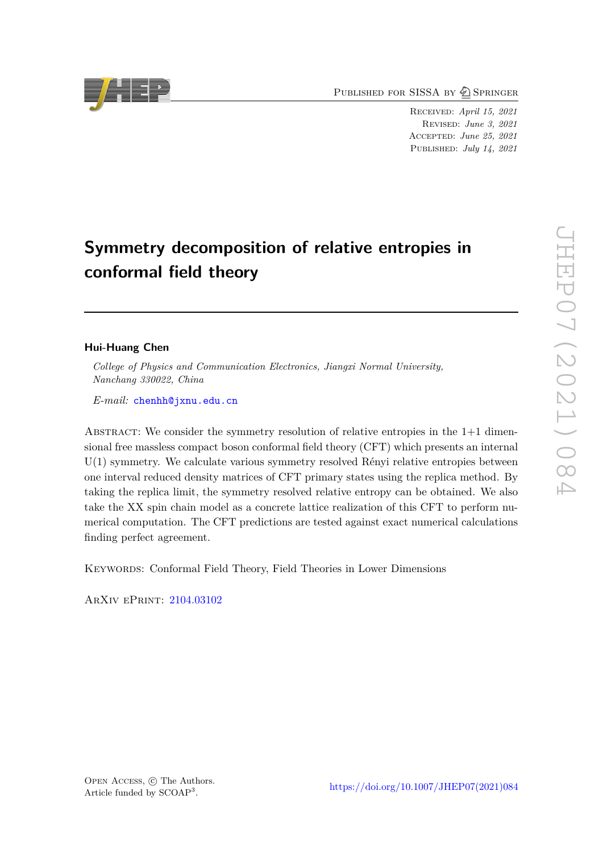PUBLISHED FOR SISSA BY 2 SPRINGER

Received: *April 15, 2021* Revised: *June 3, 2021* Accepted: *June 25, 2021* Published: *July 14, 2021*

# **Symmetry decomposition of relative entropies in conformal field theory**

# **Hui-Huang Chen**

*College of Physics and Communication Electronics, Jiangxi Normal University, Nanchang 330022, China*

*E-mail:* [chenhh@jxnu.edu.cn](mailto:chenhh@jxnu.edu.cn)

ABSTRACT: We consider the symmetry resolution of relative entropies in the  $1+1$  dimensional free massless compact boson conformal field theory (CFT) which presents an internal U(1) symmetry. We calculate various symmetry resolved Rényi relative entropies between one interval reduced density matrices of CFT primary states using the replica method. By taking the replica limit, the symmetry resolved relative entropy can be obtained. We also take the XX spin chain model as a concrete lattice realization of this CFT to perform numerical computation. The CFT predictions are tested against exact numerical calculations finding perfect agreement.

Keywords: Conformal Field Theory, Field Theories in Lower Dimensions

ArXiv ePrint: [2104.03102](https://arxiv.org/abs/2104.03102)

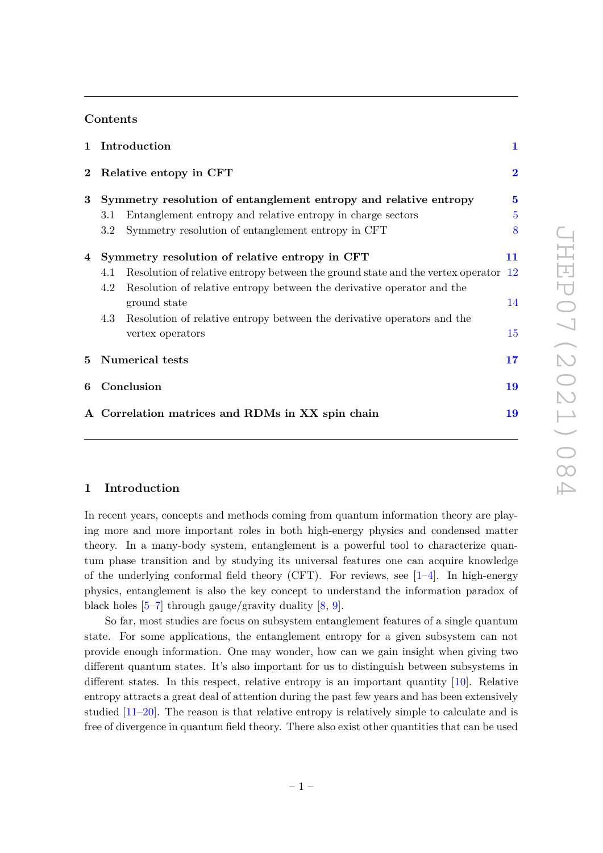# **Contents**

|          |                        | 1 Introduction                                                                     |                |
|----------|------------------------|------------------------------------------------------------------------------------|----------------|
| $\bf{2}$ | Relative entopy in CFT |                                                                                    | $\overline{2}$ |
| 3        |                        | Symmetry resolution of entanglement entropy and relative entropy                   | $\bf{5}$       |
|          | 3.1                    | Entanglement entropy and relative entropy in charge sectors                        | $\overline{5}$ |
|          | 3.2                    | Symmetry resolution of entanglement entropy in CFT                                 | 8              |
| 4        |                        | Symmetry resolution of relative entropy in CFT                                     | 11             |
|          | 4.1                    | Resolution of relative entropy between the ground state and the vertex operator 12 |                |
|          | 4.2                    | Resolution of relative entropy between the derivative operator and the             |                |
|          |                        | ground state                                                                       | 14             |
|          | 4.3                    | Resolution of relative entropy between the derivative operators and the            |                |
|          |                        | vertex operators                                                                   | 15             |
| 5.       | <b>Numerical tests</b> |                                                                                    | 17             |
| 6        | Conclusion             |                                                                                    | 19             |
|          |                        | A Correlation matrices and RDMs in XX spin chain                                   | 19             |
|          |                        |                                                                                    |                |

## <span id="page-1-0"></span>**1 Introduction**

In recent years, concepts and methods coming from quantum information theory are playing more and more important roles in both high-energy physics and condensed matter theory. In a many-body system, entanglement is a powerful tool to characterize quantum phase transition and by studying its universal features one can acquire knowledge of the underlying conformal field theory (CFT). For reviews, see  $[1-4]$  $[1-4]$ . In high-energy physics, entanglement is also the key concept to understand the information paradox of black holes  $[5-7]$  $[5-7]$  through gauge/gravity duality  $[8, 9]$  $[8, 9]$  $[8, 9]$ .

So far, most studies are focus on subsystem entanglement features of a single quantum state. For some applications, the entanglement entropy for a given subsystem can not provide enough information. One may wonder, how can we gain insight when giving two different quantum states. It's also important for us to distinguish between subsystems in different states. In this respect, relative entropy is an important quantity  $[10]$ . Relative entropy attracts a great deal of attention during the past few years and has been extensively studied [\[11](#page-22-7)[–20\]](#page-23-0). The reason is that relative entropy is relatively simple to calculate and is free of divergence in quantum field theory. There also exist other quantities that can be used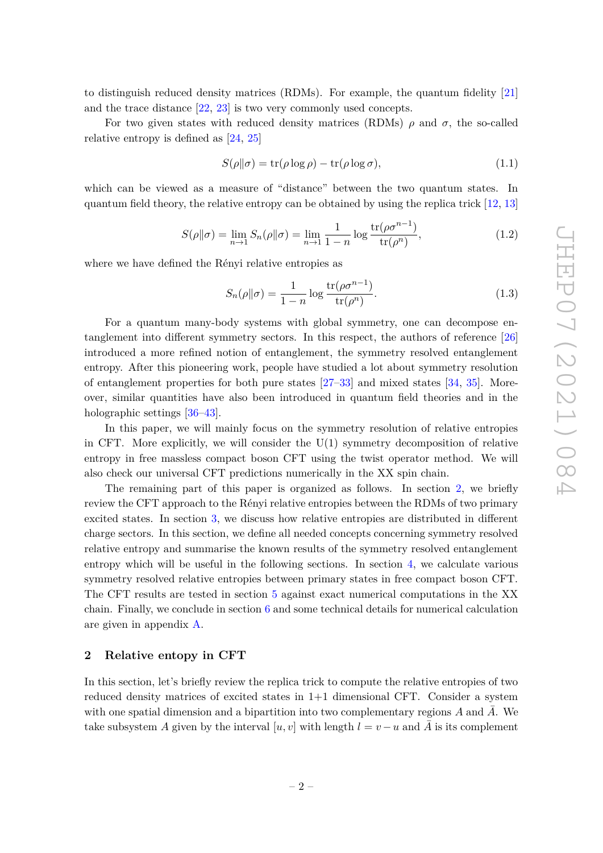to distinguish reduced density matrices (RDMs). For example, the quantum fidelity [\[21\]](#page-23-1) and the trace distance [\[22,](#page-23-2) [23\]](#page-23-3) is two very commonly used concepts.

For two given states with reduced density matrices (RDMs)  $\rho$  and  $\sigma$ , the so-called relative entropy is defined as [\[24,](#page-23-4) [25\]](#page-23-5)

$$
S(\rho \| \sigma) = \text{tr}(\rho \log \rho) - \text{tr}(\rho \log \sigma), \tag{1.1}
$$

which can be viewed as a measure of "distance" between the two quantum states. In quantum field theory, the relative entropy can be obtained by using the replica trick [\[12,](#page-22-8) [13\]](#page-22-9)

$$
S(\rho \|\sigma) = \lim_{n \to 1} S_n(\rho \|\sigma) = \lim_{n \to 1} \frac{1}{1 - n} \log \frac{\text{tr}(\rho \sigma^{n-1})}{\text{tr}(\rho^n)},
$$
\n(1.2)

where we have defined the Rényi relative entropies as

$$
S_n(\rho||\sigma) = \frac{1}{1-n} \log \frac{\text{tr}(\rho \sigma^{n-1})}{\text{tr}(\rho^n)}.
$$
\n(1.3)

For a quantum many-body systems with global symmetry, one can decompose entanglement into different symmetry sectors. In this respect, the authors of reference [\[26\]](#page-23-6) introduced a more refined notion of entanglement, the symmetry resolved entanglement entropy. After this pioneering work, people have studied a lot about symmetry resolution of entanglement properties for both pure states [\[27](#page-23-7)[–33\]](#page-23-8) and mixed states [\[34,](#page-23-9) [35\]](#page-23-10). Moreover, similar quantities have also been introduced in quantum field theories and in the holographic settings [\[36–](#page-23-11)[43\]](#page-24-0).

In this paper, we will mainly focus on the symmetry resolution of relative entropies in CFT. More explicitly, we will consider the  $U(1)$  symmetry decomposition of relative entropy in free massless compact boson CFT using the twist operator method. We will also check our universal CFT predictions numerically in the XX spin chain.

The remaining part of this paper is organized as follows. In section [2,](#page-2-0) we briefly review the CFT approach to the Rényi relative entropies between the RDMs of two primary excited states. In section [3,](#page-5-0) we discuss how relative entropies are distributed in different charge sectors. In this section, we define all needed concepts concerning symmetry resolved relative entropy and summarise the known results of the symmetry resolved entanglement entropy which will be useful in the following sections. In section [4,](#page-11-0) we calculate various symmetry resolved relative entropies between primary states in free compact boson CFT. The CFT results are tested in section [5](#page-17-0) against exact numerical computations in the XX chain. Finally, we conclude in section [6](#page-19-0) and some technical details for numerical calculation are given in appendix [A.](#page-19-1)

#### <span id="page-2-0"></span>**2 Relative entopy in CFT**

In this section, let's briefly review the replica trick to compute the relative entropies of two reduced density matrices of excited states in 1+1 dimensional CFT. Consider a system with one spatial dimension and a bipartition into two complementary regions  $A$  and  $A$ . We take subsystem *A* given by the interval [*u, v*] with length  $l = v - u$  and *A* is its complement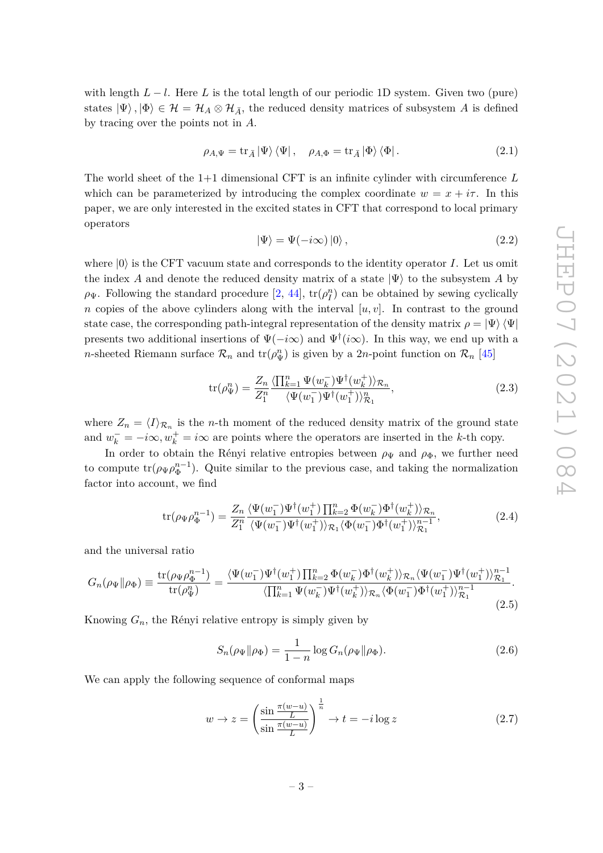with length  $L - l$ . Here L is the total length of our periodic 1D system. Given two (pure) states  $|\Psi\rangle, |\Phi\rangle \in \mathcal{H} = \mathcal{H}_A \otimes \mathcal{H}_{\bar{A}}$ , the reduced density matrices of subsystem *A* is defined by tracing over the points not in *A*.

$$
\rho_{A,\Psi} = \operatorname{tr}_{\bar{A}} |\Psi\rangle \langle \Psi| \,, \quad \rho_{A,\Phi} = \operatorname{tr}_{\bar{A}} |\Phi\rangle \langle \Phi| \,. \tag{2.1}
$$

The world sheet of the 1+1 dimensional CFT is an infinite cylinder with circumference *L* which can be parameterized by introducing the complex coordinate  $w = x + i\tau$ . In this paper, we are only interested in the excited states in CFT that correspond to local primary operators

$$
|\Psi\rangle = \Psi(-i\infty)|0\rangle, \qquad (2.2)
$$

where  $|0\rangle$  is the CFT vacuum state and corresponds to the identity operator *I*. Let us omit the index *A* and denote the reduced density matrix of a state  $|\Psi\rangle$  to the subsystem *A* by  $\rho$ <sup> $\Psi$ </sup>. Following the standard procedure [\[2,](#page-22-10) [44\]](#page-24-1), tr( $\rho_I^n$ ) can be obtained by sewing cyclically *n* copies of the above cylinders along with the interval  $[u, v]$ . In contrast to the ground state case, the corresponding path-integral representation of the density matrix  $\rho = \ket{\Psi}\bra{\Psi}$ presents two additional insertions of Ψ(−*i*∞) and Ψ† (*i*∞). In this way, we end up with a *n*-sheeted Riemann surface  $\mathcal{R}_n$  and  $\text{tr}(\rho_{\Psi}^n)$  is given by a 2*n*-point function on  $\mathcal{R}_n$  [\[45\]](#page-24-2)

$$
\text{tr}(\rho_{\Psi}^n) = \frac{Z_n}{Z_1^n} \frac{\langle \prod_{k=1}^n \Psi(w_k^-) \Psi^\dagger(w_k^+) \rangle_{\mathcal{R}_n}}{\langle \Psi(w_1^-) \Psi^\dagger(w_1^+) \rangle_{\mathcal{R}_1}^n},\tag{2.3}
$$

where  $Z_n = \langle I \rangle_{\mathcal{R}_n}$  is the *n*-th moment of the reduced density matrix of the ground state and  $w_k^- = -i\infty, w_k^+ = i\infty$  are points where the operators are inserted in the *k*-th copy.

In order to obtain the Rényi relative entropies between  $\rho_{\Psi}$  and  $\rho_{\Phi}$ , we further need to compute  $tr(\rho_{\Psi}\rho_{\Phi}^{n-1})$ . Quite similar to the previous case, and taking the normalization factor into account, we find

$$
\text{tr}(\rho_{\Psi}\rho_{\Phi}^{n-1}) = \frac{Z_n}{Z_1^n} \frac{\langle \Psi(w_1^-) \Psi^{\dagger}(w_1^+) \prod_{k=2}^n \Phi(w_k^-) \Phi^{\dagger}(w_k^+) \rangle_{\mathcal{R}_n}}{\langle \Psi(w_1^-) \Psi^{\dagger}(w_1^+) \rangle_{\mathcal{R}_1} \langle \Phi(w_1^-) \Phi^{\dagger}(w_1^+) \rangle_{\mathcal{R}_1}^{n-1}},\tag{2.4}
$$

and the universal ratio

$$
G_n(\rho_\Psi \|\rho_\Phi) \equiv \frac{\text{tr}(\rho_\Psi \rho_\Phi^{n-1})}{\text{tr}(\rho_\Psi^n)} = \frac{\langle \Psi(w_1^-) \Psi^\dagger(w_1^+) \prod_{k=2}^n \Phi(w_k^-) \Phi^\dagger(w_k^+) \rangle_{\mathcal{R}_n} \langle \Psi(w_1^-) \Psi^\dagger(w_1^+) \rangle_{\mathcal{R}_1}^{n-1}}{\langle \prod_{k=1}^n \Psi(w_k^-) \Psi^\dagger(w_k^+) \rangle_{\mathcal{R}_n} \langle \Phi(w_1^-) \Phi^\dagger(w_1^+) \rangle_{\mathcal{R}_1}^{n-1}}.
$$
\n(2.5)

Knowing  $G_n$ , the Rényi relative entropy is simply given by

$$
S_n(\rho_\Psi \| \rho_\Phi) = \frac{1}{1 - n} \log G_n(\rho_\Psi \| \rho_\Phi). \tag{2.6}
$$

We can apply the following sequence of conformal maps

<span id="page-3-0"></span>
$$
w \to z = \left(\frac{\sin \frac{\pi(w-u)}{L}}{\sin \frac{\pi(w-u)}{L}}\right)^{\frac{1}{n}} \to t = -i \log z \tag{2.7}
$$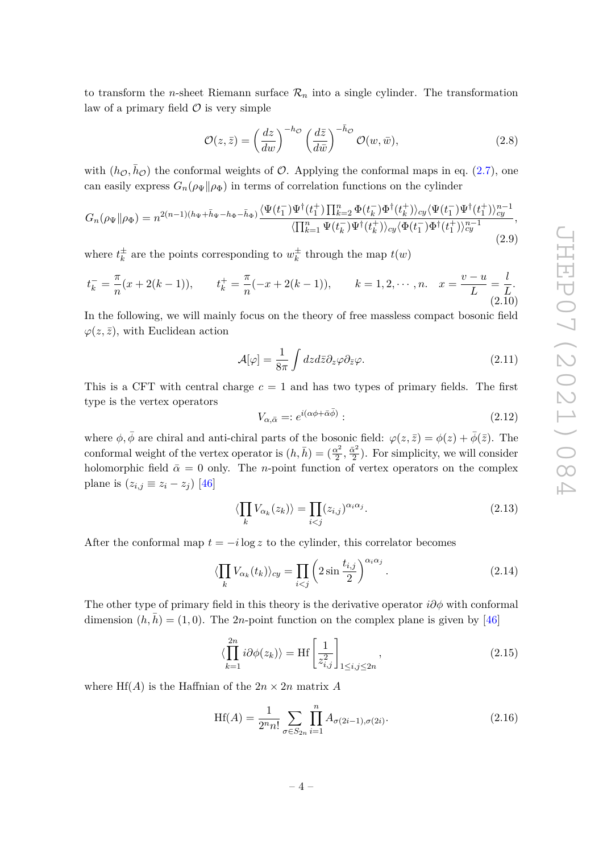to transform the *n*-sheet Riemann surface  $\mathcal{R}_n$  into a single cylinder. The transformation law of a primary field  $\mathcal O$  is very simple

$$
\mathcal{O}(z,\bar{z}) = \left(\frac{dz}{dw}\right)^{-h\phi} \left(\frac{d\bar{z}}{d\bar{w}}\right)^{-\bar{h}\phi} \mathcal{O}(w,\bar{w}),\tag{2.8}
$$

with  $(h_{\mathcal{O}}, \bar{h}_{\mathcal{O}})$  the conformal weights of  $\mathcal{O}$ . Applying the conformal maps in eq. [\(2.7\)](#page-3-0), one can easily express  $G_n(\rho_{\Psi}|| \rho_{\Phi})$  in terms of correlation functions on the cylinder

$$
G_n(\rho_\Psi||\rho_\Phi) = n^{2(n-1)(h_\Psi + \bar{h}_\Psi - h_\Phi - \bar{h}_\Phi)} \frac{\langle \Psi(t_1^-) \Psi^\dagger(t_1^+) \prod_{k=2}^n \Phi(t_k^-) \Phi^\dagger(t_k^+) \rangle_{cy} \langle \Psi(t_1^-) \Psi^\dagger(t_1^+) \rangle_{cy}^{n-1}}{\langle \prod_{k=1}^n \Psi(t_k^-) \Psi^\dagger(t_k^+) \rangle_{cy} \langle \Phi(t_1^-) \Phi^\dagger(t_1^+) \rangle_{cy}^{n-1}},
$$
\n(2.9)

where  $t_k^{\pm}$  $\frac{1}{k}$  are the points corresponding to  $w_k^{\pm}$  $\frac{1}{k}$  through the map  $t(w)$ 

<span id="page-4-1"></span>
$$
t_k^- = \frac{\pi}{n}(x+2(k-1)), \qquad t_k^+ = \frac{\pi}{n}(-x+2(k-1)), \qquad k = 1, 2, \cdots, n. \quad x = \frac{v-u}{L} = \frac{l}{L}.
$$
\n(2.10)

In the following, we will mainly focus on the theory of free massless compact bosonic field  $\varphi(z,\bar{z})$ , with Euclidean action

<span id="page-4-2"></span>
$$
\mathcal{A}[\varphi] = \frac{1}{8\pi} \int dz d\bar{z} \partial_z \varphi \partial_{\bar{z}} \varphi. \tag{2.11}
$$

This is a CFT with central charge *c* = 1 and has two types of primary fields. The first type is the vertex operators

$$
V_{\alpha,\bar{\alpha}} = :e^{i(\alpha\phi + \bar{\alpha}\bar{\phi})}:
$$
\n<sup>(2.12)</sup>

where  $\phi$ ,  $\bar{\phi}$  are chiral and anti-chiral parts of the bosonic field:  $\varphi(z,\bar{z}) = \phi(z) + \bar{\phi}(\bar{z})$ . The conformal weight of the vertex operator is  $(h, \bar{h}) = (\frac{\alpha^2}{2})$  $\frac{\alpha^2}{2},\frac{\bar{\alpha}^2}{2}$  $\frac{\alpha^2}{2}$ ). For simplicity, we will consider holomorphic field  $\bar{\alpha} = 0$  only. The *n*-point function of vertex operators on the complex plane is  $(z_{i,j} \equiv z_i - z_j)$  [\[46\]](#page-24-3)

$$
\langle \prod_{k} V_{\alpha_k}(z_k) \rangle = \prod_{i < j} (z_{i,j})^{\alpha_i \alpha_j}.\tag{2.13}
$$

After the conformal map  $t = -i \log z$  to the cylinder, this correlator becomes

$$
\langle \prod_{k} V_{\alpha_k}(t_k) \rangle_{cy} = \prod_{i < j} \left( 2 \sin \frac{t_{i,j}}{2} \right)^{\alpha_i \alpha_j} . \tag{2.14}
$$

The other type of primary field in this theory is the derivative operator *i∂φ* with conformal dimension  $(h, \bar{h}) = (1, 0)$ . The 2*n*-point function on the complex plane is given by [\[46\]](#page-24-3)

<span id="page-4-0"></span>
$$
\langle \prod_{k=1}^{2n} i \partial \phi(z_k) \rangle = \text{Hf} \left[ \frac{1}{z_{i,j}^2} \right]_{1 \le i,j \le 2n}, \qquad (2.15)
$$

where  $\text{Hf}(A)$  is the Haffnian of the  $2n \times 2n$  matrix A

$$
Hf(A) = \frac{1}{2^n n!} \sum_{\sigma \in S_{2n}} \prod_{i=1}^n A_{\sigma(2i-1), \sigma(2i)}.
$$
 (2.16)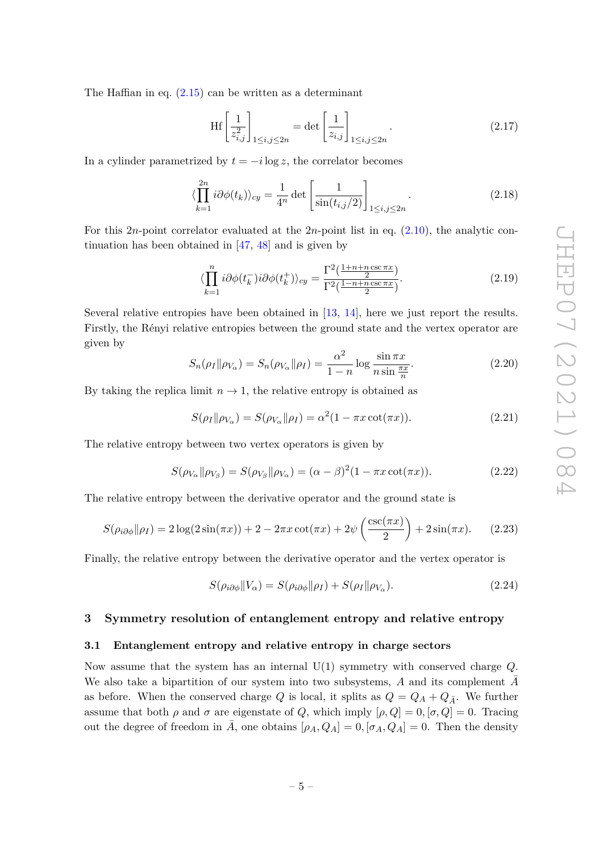The Haffian in eq.  $(2.15)$  can be written as a determinant

$$
\text{Hf}\left[\frac{1}{z_{i,j}^2}\right]_{1\leq i,j\leq 2n} = \det\left[\frac{1}{z_{i,j}}\right]_{1\leq i,j\leq 2n}.\tag{2.17}
$$

In a cylinder parametrized by  $t = -i \log z$ , the correlator becomes

$$
\langle \prod_{k=1}^{2n} i \partial \phi(t_k) \rangle_{cy} = \frac{1}{4^n} \det \left[ \frac{1}{\sin(t_{i,j}/2)} \right]_{1 \le i,j \le 2n}.
$$
\n(2.18)

For this 2*n*-point correlator evaluated at the 2*n*-point list in eq. [\(2.10\)](#page-4-1), the analytic continuation has been obtained in [\[47,](#page-24-4) [48\]](#page-24-5) and is given by

<span id="page-5-2"></span>
$$
\langle \prod_{k=1}^{n} i \partial \phi(t_k^-) i \partial \phi(t_k^+) \rangle_{cy} = \frac{\Gamma^2(\frac{1+n+n\csc \pi x}{2})}{\Gamma^2(\frac{1-n+n\csc \pi x}{2})}.
$$
\n(2.19)

Several relative entropies have been obtained in [\[13,](#page-22-9) [14\]](#page-22-11), here we just report the results. Firstly, the Rényi relative entropies between the ground state and the vertex operator are given by

$$
S_n(\rho_I \|\rho_{V_\alpha}) = S_n(\rho_{V_\alpha} \|\rho_I) = \frac{\alpha^2}{1 - n} \log \frac{\sin \pi x}{n \sin \frac{\pi x}{n}}.
$$
\n(2.20)

By taking the replica limit  $n \to 1$ , the relative entropy is obtained as

<span id="page-5-3"></span>
$$
S(\rho_I \|\rho_{V_\alpha}) = S(\rho_{V_\alpha} \|\rho_I) = \alpha^2 (1 - \pi x \cot(\pi x)). \tag{2.21}
$$

The relative entropy between two vertex operators is given by

$$
S(\rho_{V_{\alpha}}\|\rho_{V_{\beta}}) = S(\rho_{V_{\beta}}\|\rho_{V_{\alpha}}) = (\alpha - \beta)^2 (1 - \pi x \cot(\pi x)).
$$
\n(2.22)

The relative entropy between the derivative operator and the ground state is

$$
S(\rho_{i\partial\phi}||\rho_I) = 2\log(2\sin(\pi x)) + 2 - 2\pi x \cot(\pi x) + 2\psi\left(\frac{\csc(\pi x)}{2}\right) + 2\sin(\pi x). \tag{2.23}
$$

Finally, the relative entropy between the derivative operator and the vertex operator is

$$
S(\rho_{i\partial\phi}||V_{\alpha}) = S(\rho_{i\partial\phi}||\rho_I) + S(\rho_I||\rho_{V_{\alpha}}).
$$
\n(2.24)

# <span id="page-5-0"></span>**3 Symmetry resolution of entanglement entropy and relative entropy**

#### <span id="page-5-1"></span>**3.1 Entanglement entropy and relative entropy in charge sectors**

Now assume that the system has an internal U(1) symmetry with conserved charge *Q*. We also take a bipartition of our system into two subsystems, A and its complement  $\overline{A}$ as before. When the conserved charge *Q* is local, it splits as  $Q = Q_A + Q_{\overline{A}}$ . We further assume that both  $\rho$  and  $\sigma$  are eigenstate of  $Q$ , which imply  $[\rho, Q] = 0$ ,  $[\sigma, Q] = 0$ . Tracing out the degree of freedom in  $\overline{A}$ , one obtains  $[\rho_A, Q_A] = 0$ ,  $[\sigma_A, Q_A] = 0$ . Then the density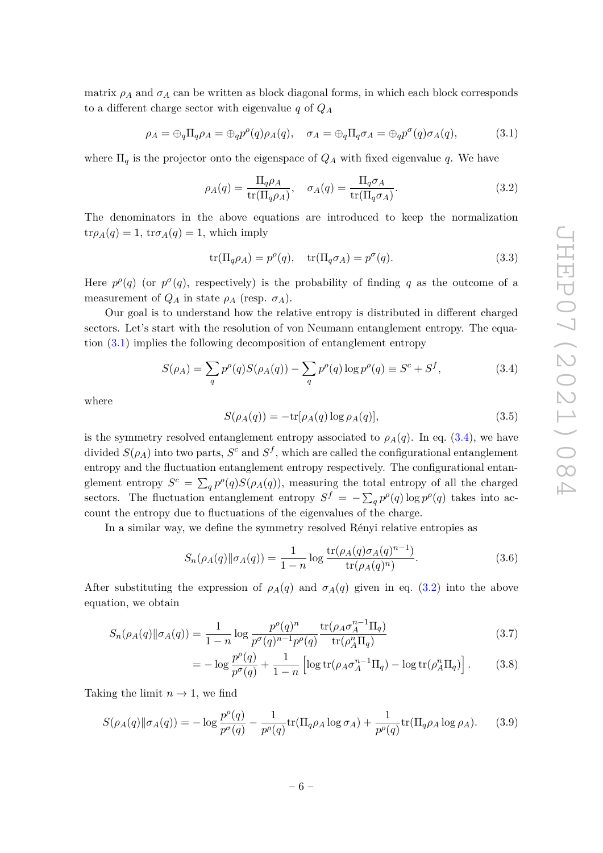matrix  $\rho_A$  and  $\sigma_A$  can be written as block diagonal forms, in which each block corresponds to a different charge sector with eigenvalue *q* of *Q<sup>A</sup>*

<span id="page-6-0"></span>
$$
\rho_A = \bigoplus_q \Pi_q \rho_A = \bigoplus_q p^{\sigma}(q) \rho_A(q), \quad \sigma_A = \bigoplus_q \Pi_q \sigma_A = \bigoplus_q p^{\sigma}(q) \sigma_A(q), \tag{3.1}
$$

where  $\Pi_q$  is the projector onto the eigenspace of  $Q_A$  with fixed eigenvalue q. We have

<span id="page-6-2"></span>
$$
\rho_A(q) = \frac{\Pi_q \rho_A}{\text{tr}(\Pi_q \rho_A)}, \quad \sigma_A(q) = \frac{\Pi_q \sigma_A}{\text{tr}(\Pi_q \sigma_A)}.
$$
\n(3.2)

The denominators in the above equations are introduced to keep the normalization  $\text{tr}\rho_A(q) = 1$ ,  $\text{tr}\sigma_A(q) = 1$ , which imply

$$
\operatorname{tr}(\Pi_q \rho_A) = p^{\rho}(q), \quad \operatorname{tr}(\Pi_q \sigma_A) = p^{\sigma}(q). \tag{3.3}
$$

Here  $p^{\rho}(q)$  (or  $p^{\sigma}(q)$ , respectively) is the probability of finding q as the outcome of a measurement of  $Q_A$  in state  $\rho_A$  (resp.  $\sigma_A$ ).

Our goal is to understand how the relative entropy is distributed in different charged sectors. Let's start with the resolution of von Neumann entanglement entropy. The equation [\(3.1\)](#page-6-0) implies the following decomposition of entanglement entropy

<span id="page-6-1"></span>
$$
S(\rho_A) = \sum_{q} p^{\rho}(q)S(\rho_A(q)) - \sum_{q} p^{\rho}(q) \log p^{\rho}(q) \equiv S^c + S^f,
$$
 (3.4)

where

$$
S(\rho_A(q)) = -\text{tr}[\rho_A(q) \log \rho_A(q)],\tag{3.5}
$$

is the symmetry resolved entanglement entropy associated to  $\rho_A(q)$ . In eq. [\(3.4\)](#page-6-1), we have divided  $S(\rho_A)$  into two parts,  $S^c$  and  $S^f$ , which are called the configurational entanglement entropy and the fluctuation entanglement entropy respectively. The configurational entanglement entropy  $S^c = \sum_q p^{\rho}(q)S(\rho_A(q))$ , measuring the total entropy of all the charged sectors. The fluctuation entanglement entropy  $S^f = -\sum_q p^{\rho}(q) \log p^{\rho}(q)$  takes into account the entropy due to fluctuations of the eigenvalues of the charge.

In a similar way, we define the symmetry resolved Rényi relative entropies as

$$
S_n(\rho_A(q) \| \sigma_A(q)) = \frac{1}{1 - n} \log \frac{\text{tr}(\rho_A(q) \sigma_A(q)^{n-1})}{\text{tr}(\rho_A(q)^n)}.
$$
 (3.6)

After substituting the expression of  $\rho_A(q)$  and  $\sigma_A(q)$  given in eq. [\(3.2\)](#page-6-2) into the above equation, we obtain

$$
S_n(\rho_A(q) \|\sigma_A(q)) = \frac{1}{1-n} \log \frac{p^{\rho}(q)^n}{p^{\sigma}(q)^{n-1} p^{\rho}(q)} \frac{\text{tr}(\rho_A \sigma_A^{n-1} \Pi_q)}{\text{tr}(\rho_A^n \Pi_q)}
$$
(3.7)

$$
= -\log \frac{p^{\rho}(q)}{p^{\sigma}(q)} + \frac{1}{1-n} \left[ \log \text{tr}(\rho_A \sigma_A^{n-1} \Pi_q) - \log \text{tr}(\rho_A^n \Pi_q) \right]. \tag{3.8}
$$

Taking the limit  $n \to 1$ , we find

$$
S(\rho_A(q) \| \sigma_A(q)) = -\log \frac{p^{\rho}(q)}{p^{\sigma}(q)} - \frac{1}{p^{\rho}(q)} tr(\Pi_q \rho_A \log \sigma_A) + \frac{1}{p^{\rho}(q)} tr(\Pi_q \rho_A \log \rho_A).
$$
 (3.9)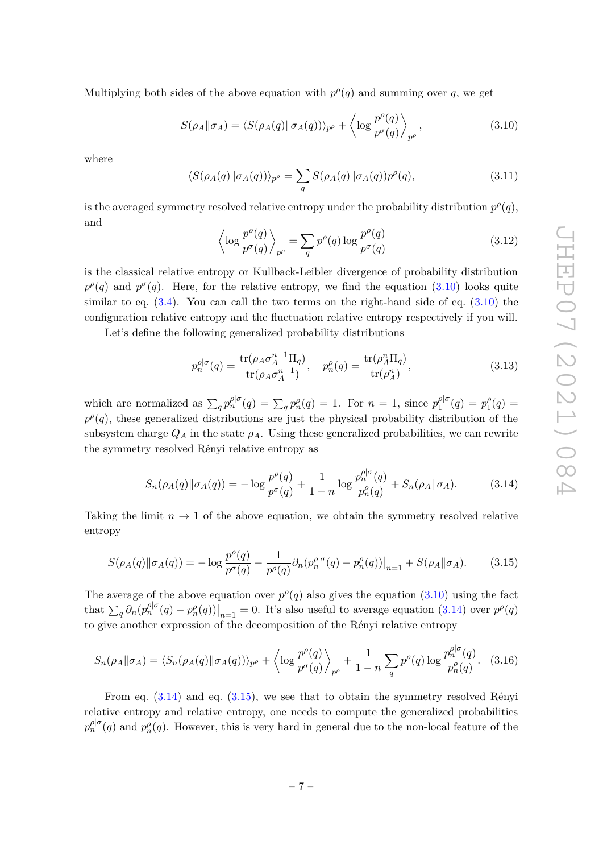Multiplying both sides of the above equation with  $p^{\rho}(q)$  and summing over *q*, we get

<span id="page-7-0"></span>
$$
S(\rho_A \|\sigma_A) = \langle S(\rho_A(q) \|\sigma_A(q))\rangle_{p^{\rho}} + \left\langle \log \frac{p^{\rho}(q)}{p^{\sigma}(q)} \right\rangle_{p^{\rho}}, \qquad (3.10)
$$

where

$$
\langle S(\rho_A(q) \|\sigma_A(q))\rangle_{p^{\rho}} = \sum_q S(\rho_A(q) \|\sigma_A(q))p^{\rho}(q), \qquad (3.11)
$$

is the averaged symmetry resolved relative entropy under the probability distribution  $p^{\rho}(q)$ , and

$$
\left\langle \log \frac{p^{\rho}(q)}{p^{\sigma}(q)} \right\rangle_{p^{\rho}} = \sum_{q} p^{\rho}(q) \log \frac{p^{\rho}(q)}{p^{\sigma}(q)} \tag{3.12}
$$

is the classical relative entropy or Kullback-Leibler divergence of probability distribution  $p^{\rho}(q)$  and  $p^{\sigma}(q)$ . Here, for the relative entropy, we find the equation [\(3.10\)](#page-7-0) looks quite similar to eq.  $(3.4)$ . You can call the two terms on the right-hand side of eq.  $(3.10)$  the configuration relative entropy and the fluctuation relative entropy respectively if you will.

Let's define the following generalized probability distributions

<span id="page-7-3"></span>
$$
p_n^{\rho|\sigma}(q) = \frac{\text{tr}(\rho_A \sigma_A^{n-1} \Pi_q)}{\text{tr}(\rho_A \sigma_A^{n-1})}, \quad p_n^{\rho}(q) = \frac{\text{tr}(\rho_A^n \Pi_q)}{\text{tr}(\rho_A^n)},
$$
(3.13)

which are normalized as  $\sum_{q} p_n^{\rho|\sigma}(q) = \sum_{q} p_n^{\rho}(q) = 1$ . For  $n = 1$ , since  $p_1^{\rho|\sigma|}$  $p_1^{\rho|\sigma}(q) = p_1^{\rho}$  $b_1^{\rho}(q) =$  $p^{\rho}(q)$ , these generalized distributions are just the physical probability distribution of the subsystem charge  $Q_A$  in the state  $\rho_A$ . Using these generalized probabilities, we can rewrite the symmetry resolved Rényi relative entropy as

<span id="page-7-1"></span>
$$
S_n(\rho_A(q) \| \sigma_A(q)) = -\log \frac{p^{\rho}(q)}{p^{\sigma}(q)} + \frac{1}{1-n} \log \frac{p_n^{\rho|\sigma}(q)}{p_n^{\rho}(q)} + S_n(\rho_A \| \sigma_A). \tag{3.14}
$$

Taking the limit  $n \to 1$  of the above equation, we obtain the symmetry resolved relative entropy

<span id="page-7-2"></span>
$$
S(\rho_A(q) \|\sigma_A(q)) = -\log \frac{p^{\rho}(q)}{p^{\sigma}(q)} - \frac{1}{p^{\rho}(q)} \partial_n (p_n^{\rho|\sigma}(q) - p_n^{\rho}(q))\big|_{n=1} + S(\rho_A \|\sigma_A). \tag{3.15}
$$

The average of the above equation over  $p^{\rho}(q)$  also gives the equation [\(3.10\)](#page-7-0) using the fact that  $\sum_{q} \partial_n (p_n^{\rho|\sigma}(q) - p_n^{\rho}(q))|_{n=1} = 0$ . It's also useful to average equation [\(3.14\)](#page-7-1) over  $p^{\rho}(q)$ to give another expression of the decomposition of the Rényi relative entropy

$$
S_n(\rho_A \|\sigma_A) = \langle S_n(\rho_A(q) \|\sigma_A(q))\rangle_{p^{\rho}} + \left\langle \log \frac{p^{\rho}(q)}{p^{\sigma}(q)} \right\rangle_{p^{\rho}} + \frac{1}{1-n} \sum_q p^{\rho}(q) \log \frac{p_n^{\rho|\sigma}(q)}{p_n^{\rho}(q)}.
$$
 (3.16)

From eq. [\(3.14\)](#page-7-1) and eq. [\(3.15\)](#page-7-2), we see that to obtain the symmetry resolved Rényi relative entropy and relative entropy, one needs to compute the generalized probabilities  $p_n^{\rho|\sigma}(q)$  and  $p_n^{\rho}(q)$ . However, this is very hard in general due to the non-local feature of the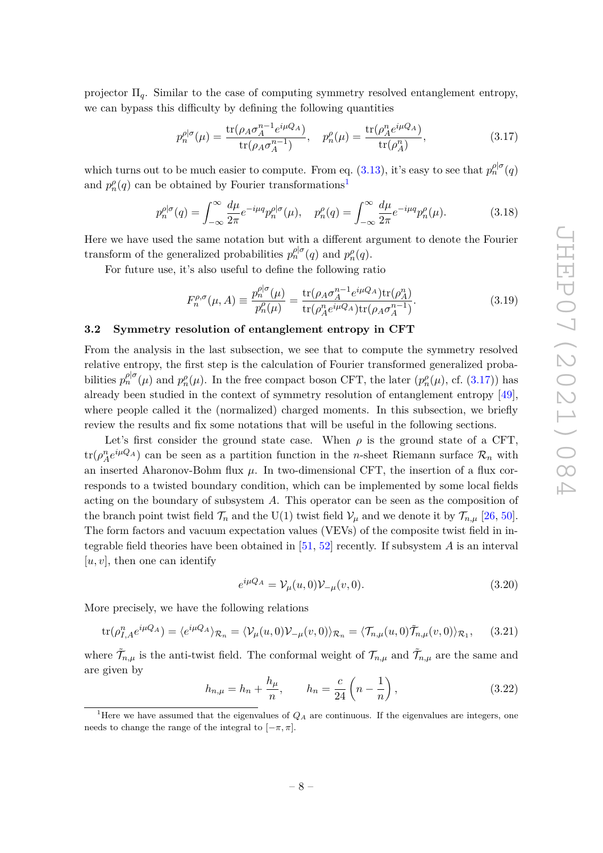projector Π*q*. Similar to the case of computing symmetry resolved entanglement entropy, we can bypass this difficulty by defining the following quantities

<span id="page-8-2"></span>
$$
p_n^{\rho|\sigma}(\mu) = \frac{\text{tr}(\rho_A \sigma_A^{n-1} e^{i\mu Q_A})}{\text{tr}(\rho_A \sigma_A^{n-1})}, \quad p_n^{\rho}(\mu) = \frac{\text{tr}(\rho_A^n e^{i\mu Q_A})}{\text{tr}(\rho_A^n)},
$$
(3.17)

which turns out to be much easier to compute. From eq. [\(3.13\)](#page-7-3), it's easy to see that  $p_n^{\rho|\sigma}(q)$ and  $p_n^{\rho}(q)$  can be obtained by Fourier transformations<sup>[1](#page-8-1)</sup>

$$
p_n^{\rho|\sigma}(q) = \int_{-\infty}^{\infty} \frac{d\mu}{2\pi} e^{-i\mu q} p_n^{\rho|\sigma}(\mu), \quad p_n^{\rho}(q) = \int_{-\infty}^{\infty} \frac{d\mu}{2\pi} e^{-i\mu q} p_n^{\rho}(\mu). \tag{3.18}
$$

Here we have used the same notation but with a different argument to denote the Fourier transform of the generalized probabilities  $p_n^{\rho|\sigma}(q)$  and  $p_n^{\rho}(q)$ .

For future use, it's also useful to define the following ratio

$$
F_n^{\rho,\sigma}(\mu,A) \equiv \frac{p_n^{\rho|\sigma}(\mu)}{p_n^{\rho}(\mu)} = \frac{\text{tr}(\rho_A \sigma_A^{n-1} e^{i\mu Q_A}) \text{tr}(\rho_A^n)}{\text{tr}(\rho_A^n e^{i\mu Q_A}) \text{tr}(\rho_A \sigma_A^{n-1})}.
$$
(3.19)

#### <span id="page-8-0"></span>**3.2 Symmetry resolution of entanglement entropy in CFT**

From the analysis in the last subsection, we see that to compute the symmetry resolved relative entropy, the first step is the calculation of Fourier transformed generalized probabilities  $p_n^{\rho|\sigma}(\mu)$  and  $p_n^{\rho}(\mu)$ . In the free compact boson CFT, the later  $(p_n^{\rho}(\mu), \text{ cf. } (3.17))$  $(p_n^{\rho}(\mu), \text{ cf. } (3.17))$  $(p_n^{\rho}(\mu), \text{ cf. } (3.17))$  has already been studied in the context of symmetry resolution of entanglement entropy [\[49\]](#page-24-6), where people called it the (normalized) charged moments. In this subsection, we briefly review the results and fix some notations that will be useful in the following sections.

Let's first consider the ground state case. When  $\rho$  is the ground state of a CFT,  $\text{tr}(\rho_A^n e^{i\mu Q_A})$  can be seen as a partition function in the *n*-sheet Riemann surface  $\mathcal{R}_n$  with an inserted Aharonov-Bohm flux  $\mu$ . In two-dimensional CFT, the insertion of a flux corresponds to a twisted boundary condition, which can be implemented by some local fields acting on the boundary of subsystem *A*. This operator can be seen as the composition of the branch point twist field  $\mathcal{T}_n$  and the U(1) twist field  $\mathcal{V}_\mu$  and we denote it by  $\mathcal{T}_{n,\mu}$  [\[26,](#page-23-6) [50\]](#page-24-7). The form factors and vacuum expectation values (VEVs) of the composite twist field in integrable field theories have been obtained in [\[51,](#page-24-8) [52\]](#page-24-9) recently. If subsystem *A* is an interval [*u, v*], then one can identify

$$
e^{i\mu Q_A} = \mathcal{V}_{\mu}(u,0)\mathcal{V}_{-\mu}(v,0). \tag{3.20}
$$

More precisely, we have the following relations

<span id="page-8-3"></span>
$$
\text{tr}(\rho_{I,A}^n e^{i\mu Q_A}) = \langle e^{i\mu Q_A} \rangle_{\mathcal{R}_n} = \langle \mathcal{V}_\mu(u,0) \mathcal{V}_{-\mu}(v,0) \rangle_{\mathcal{R}_n} = \langle \mathcal{T}_{n,\mu}(u,0) \tilde{\mathcal{T}}_{n,\mu}(v,0) \rangle_{\mathcal{R}_1},\tag{3.21}
$$

where  $\tilde{\mathcal{T}}_{n,\mu}$  is the anti-twist field. The conformal weight of  $\mathcal{T}_{n,\mu}$  and  $\tilde{\mathcal{T}}_{n,\mu}$  are the same and are given by

$$
h_{n,\mu} = h_n + \frac{h_\mu}{n}, \qquad h_n = \frac{c}{24} \left( n - \frac{1}{n} \right), \tag{3.22}
$$

<span id="page-8-1"></span><sup>&</sup>lt;sup>1</sup>Here we have assumed that the eigenvalues of  $Q_A$  are continuous. If the eigenvalues are integers, one needs to change the range of the integral to  $[-\pi, \pi]$ .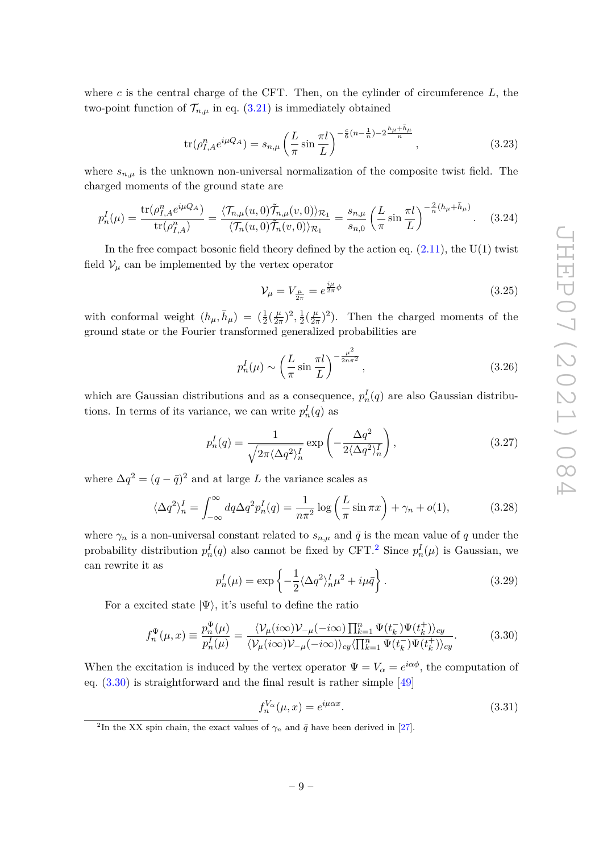where *c* is the central charge of the CFT. Then, on the cylinder of circumference *L*, the two-point function of  $\mathcal{T}_{n,\mu}$  in eq. [\(3.21\)](#page-8-3) is immediately obtained

$$
\text{tr}(\rho_{I,A}^n e^{i\mu Q_A}) = s_{n,\mu} \left(\frac{L}{\pi} \sin \frac{\pi l}{L}\right)^{-\frac{c}{6}(n-\frac{1}{n})-2\frac{h_{\mu}+\bar{h}_{\mu}}{n}},\tag{3.23}
$$

where  $s_{n,\mu}$  is the unknown non-universal normalization of the composite twist field. The charged moments of the ground state are

$$
p_n^I(\mu) = \frac{\text{tr}(\rho_{I,A}^n e^{i\mu Q_A})}{\text{tr}(\rho_{I,A}^n)} = \frac{\langle \mathcal{T}_{n,\mu}(u,0) \tilde{\mathcal{T}}_{n,\mu}(v,0) \rangle_{\mathcal{R}_1}}{\langle \mathcal{T}_n(u,0) \tilde{\mathcal{T}}_n(v,0) \rangle_{\mathcal{R}_1}} = \frac{s_{n,\mu}}{s_{n,0}} \left( \frac{L}{\pi} \sin \frac{\pi l}{L} \right)^{-\frac{2}{n}(h_\mu + \bar{h}_\mu)}.
$$
 (3.24)

In the free compact bosonic field theory defined by the action eq.  $(2.11)$ , the U(1) twist field  $V_\mu$  can be implemented by the vertex operator

$$
\mathcal{V}_{\mu} = V_{\frac{\mu}{2\pi}} = e^{\frac{i\mu}{2\pi}\phi} \tag{3.25}
$$

with conformal weight  $(h_\mu, \bar{h}_\mu) = (\frac{1}{2}(\frac{\mu}{2\tau}))$  $(\frac{\mu}{2\pi})^2, \frac{1}{2}$  $\frac{1}{2}(\frac{\mu}{2\tau})$  $(\frac{\mu}{2\pi})^2$ ). Then the charged moments of the ground state or the Fourier transformed generalized probabilities are

$$
p_n^I(\mu) \sim \left(\frac{L}{\pi} \sin \frac{\pi l}{L}\right)^{-\frac{\mu^2}{2n\pi^2}},\tag{3.26}
$$

which are Gaussian distributions and as a consequence,  $p_n^I(q)$  are also Gaussian distributions. In terms of its variance, we can write  $p_n^I(q)$  as

<span id="page-9-2"></span>
$$
p_n^I(q) = \frac{1}{\sqrt{2\pi \langle \Delta q^2 \rangle_n^I}} \exp\left(-\frac{\Delta q^2}{2\langle \Delta q^2 \rangle_n^I}\right),\tag{3.27}
$$

where  $\Delta q^2 = (q - \bar{q})^2$  and at large *L* the variance scales as

$$
\langle \Delta q^2 \rangle_n^I = \int_{-\infty}^{\infty} dq \Delta q^2 p_n^I(q) = \frac{1}{n\pi^2} \log \left( \frac{L}{\pi} \sin \pi x \right) + \gamma_n + o(1), \tag{3.28}
$$

where  $\gamma_n$  is a non-universal constant related to  $s_{n,\mu}$  and  $\bar{q}$  is the mean value of q under the probability distribution  $p_n^I(q)$  also cannot be fixed by CFT.<sup>[2](#page-9-0)</sup> Since  $p_n^I(\mu)$  is Gaussian, we can rewrite it as

<span id="page-9-3"></span>
$$
p_n^I(\mu) = \exp\left\{-\frac{1}{2}\langle\Delta q^2\rangle_n^I\mu^2 + i\mu\bar{q}\right\}.
$$
 (3.29)

For a excited state  $|\Psi\rangle$ , it's useful to define the ratio

<span id="page-9-1"></span>
$$
f_n^{\Psi}(\mu, x) \equiv \frac{p_n^{\Psi}(\mu)}{p_n^I(\mu)} = \frac{\langle \mathcal{V}_\mu(i\infty) \mathcal{V}_{-\mu}(-i\infty) \prod_{k=1}^n \Psi(t_k^-) \Psi(t_k^+) \rangle_{cy}}{\langle \mathcal{V}_\mu(i\infty) \mathcal{V}_{-\mu}(-i\infty) \rangle_{cy} \langle \prod_{k=1}^n \Psi(t_k^-) \Psi(t_k^+) \rangle_{cy}}.
$$
(3.30)

When the excitation is induced by the vertex operator  $\Psi = V_\alpha = e^{i\alpha\phi}$ , the computation of eq. [\(3.30\)](#page-9-1) is straightforward and the final result is rather simple [\[49\]](#page-24-6)

$$
f_n^{V_\alpha}(\mu, x) = e^{i\mu\alpha x}.\tag{3.31}
$$

<span id="page-9-0"></span><sup>&</sup>lt;sup>2</sup>In the XX spin chain, the exact values of  $\gamma_n$  and  $\bar{q}$  have been derived in [\[27\]](#page-23-7).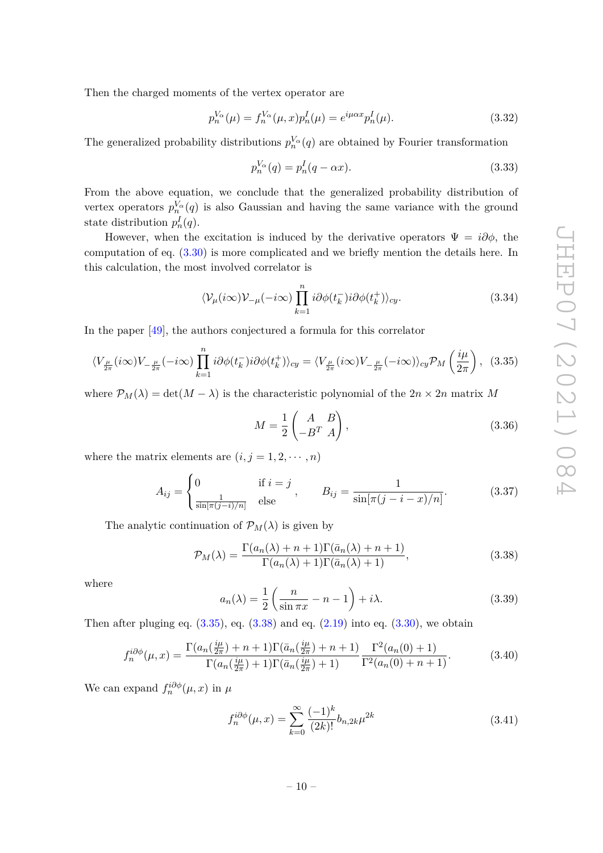Then the charged moments of the vertex operator are

$$
p_n^{V_\alpha}(\mu) = f_n^{V_\alpha}(\mu, x) p_n^I(\mu) = e^{i\mu\alpha x} p_n^I(\mu).
$$
 (3.32)

The generalized probability distributions  $p_n^{V_\alpha}(q)$  are obtained by Fourier transformation

$$
p_n^{V_\alpha}(q) = p_n^I(q - \alpha x). \tag{3.33}
$$

From the above equation, we conclude that the generalized probability distribution of vertex operators  $p_n^{V_\alpha}(q)$  is also Gaussian and having the same variance with the ground state distribution  $p_n^I(q)$ .

However, when the excitation is induced by the derivative operators  $\Psi = i\partial\phi$ , the computation of eq. [\(3.30\)](#page-9-1) is more complicated and we briefly mention the details here. In this calculation, the most involved correlator is

$$
\langle \mathcal{V}_{\mu}(i\infty)\mathcal{V}_{-\mu}(-i\infty)\prod_{k=1}^{n}i\partial\phi(t_{k}^{-})i\partial\phi(t_{k}^{+})\rangle_{cy}.
$$
\n(3.34)

In the paper [\[49\]](#page-24-6), the authors conjectured a formula for this correlator

<span id="page-10-0"></span>
$$
\langle V_{\frac{\mu}{2\pi}}(i\infty)V_{-\frac{\mu}{2\pi}}(-i\infty)\prod_{k=1}^{n}i\partial\phi(t_{k}^{-})i\partial\phi(t_{k}^{+})\rangle_{cy} = \langle V_{\frac{\mu}{2\pi}}(i\infty)V_{-\frac{\mu}{2\pi}}(-i\infty)\rangle_{cy}\mathcal{P}_{M}\left(\frac{i\mu}{2\pi}\right), (3.35)
$$

where  $\mathcal{P}_M(\lambda) = \det(M - \lambda)$  is the characteristic polynomial of the  $2n \times 2n$  matrix M

$$
M = \frac{1}{2} \begin{pmatrix} A & B \\ -B^T & A \end{pmatrix},
$$
\n(3.36)

where the matrix elements are  $(i, j = 1, 2, \dots, n)$ 

$$
A_{ij} = \begin{cases} 0 & \text{if } i = j \\ \frac{1}{\sin[\pi(j-i)/n]} & \text{else} \end{cases}, \qquad B_{ij} = \frac{1}{\sin[\pi(j-i-x)/n]}.
$$
 (3.37)

The analytic continuation of  $\mathcal{P}_M(\lambda)$  is given by

<span id="page-10-1"></span>
$$
\mathcal{P}_M(\lambda) = \frac{\Gamma(a_n(\lambda) + n + 1)\Gamma(\bar{a}_n(\lambda) + n + 1)}{\Gamma(a_n(\lambda) + 1)\Gamma(\bar{a}_n(\lambda) + 1)},
$$
\n(3.38)

where

$$
a_n(\lambda) = \frac{1}{2} \left( \frac{n}{\sin \pi x} - n - 1 \right) + i\lambda.
$$
 (3.39)

Then after pluging eq.  $(3.35)$ , eq.  $(3.38)$  and eq.  $(2.19)$  into eq.  $(3.30)$ , we obtain

$$
f_n^{i\partial\phi}(\mu, x) = \frac{\Gamma(a_n(\frac{i\mu}{2\pi}) + n + 1)\Gamma(\bar{a}_n(\frac{i\mu}{2\pi}) + n + 1)}{\Gamma(a_n(\frac{i\mu}{2\pi}) + 1)\Gamma(\bar{a}_n(\frac{i\mu}{2\pi}) + 1)} \frac{\Gamma^2(a_n(0) + 1)}{\Gamma^2(a_n(0) + n + 1)}.
$$
(3.40)

<span id="page-10-2"></span>We can expand  $f_n^{i\partial\phi}(\mu, x)$  in  $\mu$ 

$$
f_n^{i\partial\phi}(\mu, x) = \sum_{k=0}^{\infty} \frac{(-1)^k}{(2k)!} b_{n,2k} \mu^{2k}
$$
 (3.41)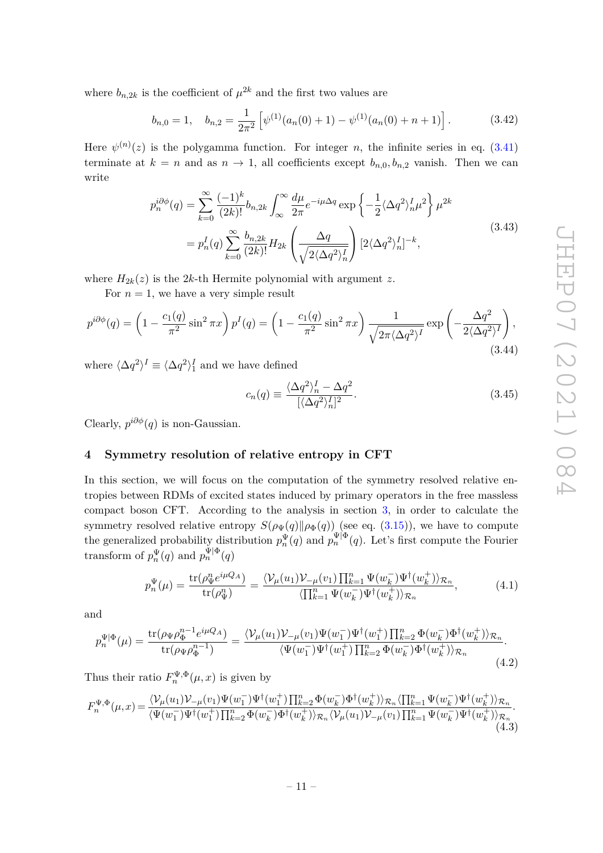where  $b_{n,2k}$  is the coefficient of  $\mu^{2k}$  and the first two values are

$$
b_{n,0} = 1, \quad b_{n,2} = \frac{1}{2\pi^2} \left[ \psi^{(1)}(a_n(0) + 1) - \psi^{(1)}(a_n(0) + n + 1) \right]. \tag{3.42}
$$

Here  $\psi^{(n)}(z)$  is the polygamma function. For integer *n*, the infinite series in eq. [\(3.41\)](#page-10-2) terminate at  $k = n$  and as  $n \to 1$ , all coefficients except  $b_{n,0}, b_{n,2}$  vanish. Then we can write

$$
p_n^{i\partial\phi}(q) = \sum_{k=0}^{\infty} \frac{(-1)^k}{(2k)!} b_{n,2k} \int_{\infty}^{\infty} \frac{d\mu}{2\pi} e^{-i\mu\Delta q} \exp\left\{-\frac{1}{2} \langle \Delta q^2 \rangle_n^I \mu^2\right\} \mu^{2k}
$$

$$
= p_n^I(q) \sum_{k=0}^{\infty} \frac{b_{n,2k}}{(2k)!} H_{2k} \left(\frac{\Delta q}{\sqrt{2 \langle \Delta q^2 \rangle_n^I}}\right) [2 \langle \Delta q^2 \rangle_n^I]^{-k}, \tag{3.43}
$$

where  $H_{2k}(z)$  is the 2*k*-th Hermite polynomial with argument *z*.

For  $n = 1$ , we have a very simple result

$$
p^{i\partial\phi}(q) = \left(1 - \frac{c_1(q)}{\pi^2}\sin^2\pi x\right)p^I(q) = \left(1 - \frac{c_1(q)}{\pi^2}\sin^2\pi x\right)\frac{1}{\sqrt{2\pi\langle\Delta q^2\rangle^I}}\exp\left(-\frac{\Delta q^2}{2\langle\Delta q^2\rangle^I}\right),\tag{3.44}
$$

where  $\langle \Delta q^2 \rangle^I \equiv \langle \Delta q^2 \rangle^I_1$  and we have defined

$$
c_n(q) \equiv \frac{\langle \Delta q^2 \rangle_n^I - \Delta q^2}{[\langle \Delta q^2 \rangle_n^I]^2}.
$$
\n(3.45)

Clearly,  $p^{i\partial \phi}(q)$  is non-Gaussian.

# <span id="page-11-0"></span>**4 Symmetry resolution of relative entropy in CFT**

In this section, we will focus on the computation of the symmetry resolved relative entropies between RDMs of excited states induced by primary operators in the free massless compact boson CFT. According to the analysis in section [3,](#page-5-0) in order to calculate the symmetry resolved relative entropy  $S(\rho_{\Psi}(q) \| \rho_{\Phi}(q))$  (see eq. [\(3.15\)](#page-7-2)), we have to compute the generalized probability distribution  $p_n^{\Psi}(q)$  and  $p_n^{\Psi|\Phi}(q)$ . Let's first compute the Fourier transform of  $p_n^{\Psi}(q)$  and  $p_n^{\Psi|\Phi}(q)$ 

$$
p_n^{\Psi}(\mu) = \frac{\text{tr}(\rho_{\Psi}^n e^{i\mu Q_A})}{\text{tr}(\rho_{\Psi}^n)} = \frac{\langle \mathcal{V}_{\mu}(u_1) \mathcal{V}_{-\mu}(v_1) \prod_{k=1}^n \Psi(w_k^-) \Psi^{\dagger}(w_k^+) \rangle_{\mathcal{R}_n}}{\langle \prod_{k=1}^n \Psi(w_k^-) \Psi^{\dagger}(w_k^+) \rangle_{\mathcal{R}_n}},\tag{4.1}
$$

and

<span id="page-11-2"></span>
$$
p_n^{\Psi|\Phi}(\mu) = \frac{\text{tr}(\rho_{\Psi}\rho_{\Phi}^{n-1}e^{i\mu Q_A})}{\text{tr}(\rho_{\Psi}\rho_{\Phi}^{n-1})} = \frac{\langle \mathcal{V}_{\mu}(u_1)\mathcal{V}_{-\mu}(v_1)\Psi(w_1^-)\Psi^{\dagger}(w_1^+) \prod_{k=2}^n \Phi(w_k^-)\Phi^{\dagger}(w_k^+)\rangle_{\mathcal{R}_n}}{\langle \Psi(w_1^-)\Psi^{\dagger}(w_1^+) \prod_{k=2}^n \Phi(w_k^-)\Phi^{\dagger}(w_k^+)\rangle_{\mathcal{R}_n}}.
$$
\n(4.2)

Thus their ratio  $F_n^{\Psi, \Phi}(\mu, x)$  is given by

<span id="page-11-1"></span>
$$
F_n^{\Psi,\Phi}(\mu,x) = \frac{\langle \mathcal{V}_\mu(u_1) \mathcal{V}_{-\mu}(v_1) \Psi(w_1^-) \Psi^\dagger(w_1^+) \prod_{k=2}^n \Phi(w_k^-) \Phi^\dagger(w_k^+) \rangle_{\mathcal{R}_n} \langle \prod_{k=1}^n \Psi(w_k^-) \Psi^\dagger(w_k^+) \rangle_{\mathcal{R}_n}}{\langle \Psi(w_1^-) \Psi^\dagger(w_1^+) \prod_{k=2}^n \Phi(w_k^-) \Phi^\dagger(w_k^+) \rangle_{\mathcal{R}_n} \langle \mathcal{V}_\mu(u_1) \mathcal{V}_{-\mu}(v_1) \prod_{k=1}^n \Psi(w_k^-) \Psi^\dagger(w_k^+) \rangle_{\mathcal{R}_n}}.
$$
\n(4.3)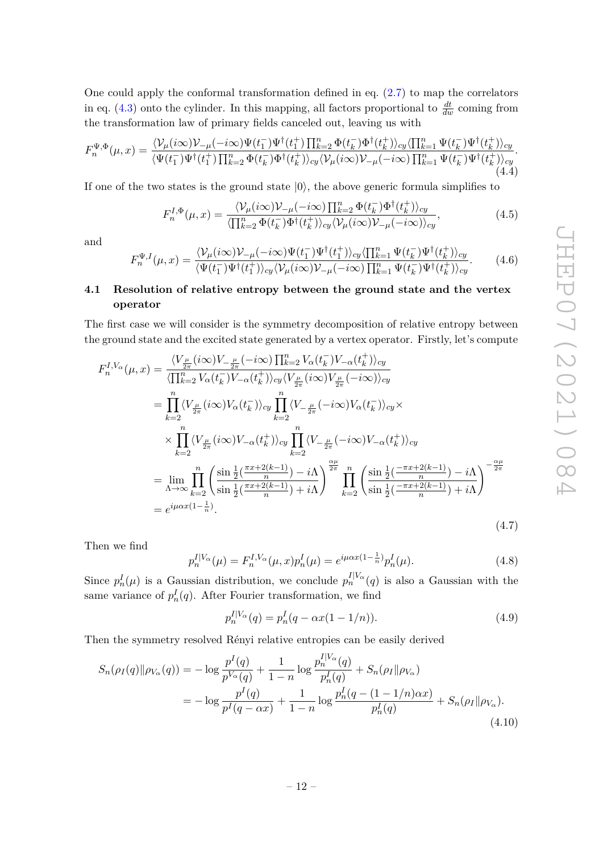One could apply the conformal transformation defined in eq.  $(2.7)$  to map the correlators in eq.  $(4.3)$  onto the cylinder. In this mapping, all factors proportional to  $\frac{dt}{dw}$  coming from the transformation law of primary fields canceled out, leaving us with

$$
F_n^{\Psi,\Phi}(\mu,x) = \frac{\langle \mathcal{V}_\mu(i\infty) \mathcal{V}_{-\mu}(-i\infty) \Psi(t_1^-) \Psi^\dagger(t_1^+) \prod_{k=2}^n \Phi(t_k^-) \Phi^\dagger(t_k^+) \rangle_{cy} \langle \prod_{k=1}^n \Psi(t_k^-) \Psi^\dagger(t_k^+) \rangle_{cy}}{\langle \Psi(t_1^-) \Psi^\dagger(t_1^+) \prod_{k=2}^n \Phi(t_k^-) \Phi^\dagger(t_k^+) \rangle_{cy} \langle \mathcal{V}_\mu(i\infty) \mathcal{V}_{-\mu}(-i\infty) \prod_{k=1}^n \Psi(t_k^-) \Psi^\dagger(t_k^+) \rangle_{cy}}.
$$
\n(4.4)

If one of the two states is the ground state  $|0\rangle$ , the above generic formula simplifies to

$$
F_n^{I,\Phi}(\mu,x) = \frac{\langle \mathcal{V}_\mu(i\infty) \mathcal{V}_{-\mu}(-i\infty) \prod_{k=2}^n \Phi(t_k^-) \Phi^\dagger(t_k^+) \rangle_{cy}}{\langle \prod_{k=2}^n \Phi(t_k^-) \Phi^\dagger(t_k^+) \rangle_{cy} \langle \mathcal{V}_\mu(i\infty) \mathcal{V}_{-\mu}(-i\infty) \rangle_{cy}},\tag{4.5}
$$

and

$$
F_n^{\Psi, I}(\mu, x) = \frac{\langle \mathcal{V}_\mu(i\infty) \mathcal{V}_{-\mu}(-i\infty) \Psi(t_1^-) \Psi^\dagger(t_1^+) \rangle_{cy} \langle \prod_{k=1}^n \Psi(t_k^-) \Psi^\dagger(t_k^+) \rangle_{cy}}{\langle \Psi(t_1^-) \Psi^\dagger(t_1^+) \rangle_{cy} \langle \mathcal{V}_\mu(i\infty) \mathcal{V}_{-\mu}(-i\infty) \prod_{k=1}^n \Psi(t_k^-) \Psi^\dagger(t_k^+) \rangle_{cy}}.
$$
(4.6)

# <span id="page-12-0"></span>**4.1 Resolution of relative entropy between the ground state and the vertex operator**

The first case we will consider is the symmetry decomposition of relative entropy between the ground state and the excited state generated by a vertex operator. Firstly, let's compute

<span id="page-12-1"></span>
$$
F_n^{I,V_\alpha}(\mu, x) = \frac{\langle V_{\frac{\mu}{2\pi}}(i\infty)V_{-\frac{\mu}{2\pi}}(-i\infty)\prod_{k=2}^n V_\alpha(t_k^-) V_{-\alpha}(t_k^+)\rangle_{cy}}{\langle \prod_{k=2}^n V_\alpha(t_k^-) V_{-\alpha}(t_k^+)\rangle_{cy} \langle V_{\frac{\mu}{2\pi}}(i\infty)V_{\frac{\mu}{2\pi}}(-i\infty)\rangle_{cy}}
$$
  
\n
$$
= \prod_{k=2}^n \langle V_{\frac{\mu}{2\pi}}(i\infty)V_\alpha(t_k^-)\rangle_{cy} \prod_{k=2}^n \langle V_{-\frac{\mu}{2\pi}}(-i\infty)V_\alpha(t_k^-)\rangle_{cy} \times
$$
  
\n
$$
\times \prod_{k=2}^n \langle V_{\frac{\mu}{2\pi}}(i\infty)V_{-\alpha}(t_k^+)\rangle_{cy} \prod_{k=2}^n \langle V_{-\frac{\mu}{2\pi}}(-i\infty)V_{-\alpha}(t_k^+)\rangle_{cy}
$$
  
\n
$$
= \lim_{\Lambda \to \infty} \prod_{k=2}^n \left( \frac{\sin \frac{1}{2}(\frac{\pi x + 2(k-1)}{n}) - i\Lambda}{\sin \frac{1}{2}(\frac{\pi x + 2(k-1)}{n}) + i\Lambda} \right)^{\frac{\alpha\mu}{2\pi}} \prod_{k=2}^n \left( \frac{\sin \frac{1}{2}(\frac{-\pi x + 2(k-1)}{n}) - i\Lambda}{\sin \frac{1}{2}(\frac{-\pi x + 2(k-1)}{n}) + i\Lambda} \right)^{-\frac{\alpha\mu}{2\pi}}
$$
  
\n
$$
= e^{i\mu\alpha x (1 - \frac{1}{n})}. \tag{4.7}
$$

Then we find

$$
p_n^{I|V_\alpha}(\mu) = F_n^{I,V_\alpha}(\mu, x) p_n^I(\mu) = e^{i\mu\alpha x (1 - \frac{1}{n})} p_n^I(\mu).
$$
 (4.8)

Since  $p_n^I(\mu)$  is a Gaussian distribution, we conclude  $p_n^{I|V_\alpha}(q)$  is also a Gaussian with the same variance of  $p_n^I(q)$ . After Fourier transformation, we find

$$
p_n^{I|V_\alpha}(q) = p_n^I(q - \alpha x(1 - 1/n)).
$$
\n(4.9)

Then the symmetry resolved Rényi relative entropies can be easily derived

$$
S_n(\rho_I(q) \|\rho_{V_\alpha}(q)) = -\log \frac{p^I(q)}{p^{V_\alpha}(q)} + \frac{1}{1-n} \log \frac{p^{I|V_\alpha}(q)}{p^I_n(q)} + S_n(\rho_I \|\rho_{V_\alpha})
$$
  
= 
$$
-\log \frac{p^I(q)}{p^I(q - \alpha x)} + \frac{1}{1-n} \log \frac{p^I_n(q - (1 - 1/n)\alpha x)}{p^I_n(q)} + S_n(\rho_I \|\rho_{V_\alpha}).
$$
(4.10)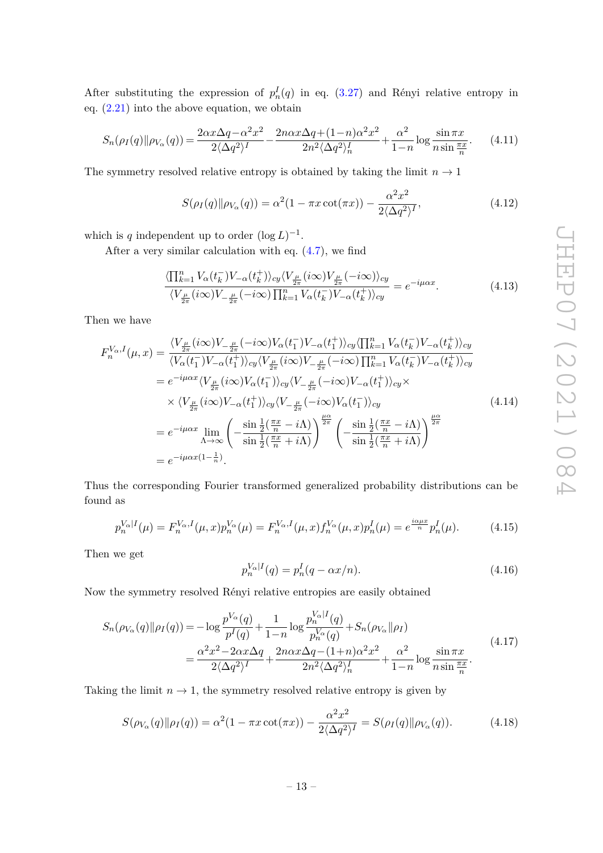After substituting the expression of  $p_n^I(q)$  in eq. [\(3.27\)](#page-9-2) and Rényi relative entropy in eq.  $(2.21)$  into the above equation, we obtain

$$
S_n(\rho_I(q)\|\rho_{V_\alpha}(q)) = \frac{2\alpha x \Delta q - \alpha^2 x^2}{2\langle \Delta q^2 \rangle^I} - \frac{2n\alpha x \Delta q + (1-n)\alpha^2 x^2}{2n^2 \langle \Delta q^2 \rangle^I_n} + \frac{\alpha^2}{1-n} \log \frac{\sin \pi x}{n \sin \frac{\pi x}{n}}.
$$
 (4.11)

The symmetry resolved relative entropy is obtained by taking the limit  $n \to 1$ 

$$
S(\rho_I(q) \| \rho_{V_{\alpha}}(q)) = \alpha^2 (1 - \pi x \cot(\pi x)) - \frac{\alpha^2 x^2}{2 \langle \Delta q^2 \rangle^I},
$$
\n(4.12)

which is *q* independent up to order  $(\log L)^{-1}$ .

After a very similar calculation with eq. [\(4.7\)](#page-12-1), we find

$$
\frac{\langle \prod_{k=1}^{n} V_{\alpha}(t_k^{-}) V_{-\alpha}(t_k^{+}) \rangle_{cy} \langle V_{\frac{\mu}{2\pi}}(i\infty) V_{\frac{\mu}{2\pi}}(-i\infty) \rangle_{cy}}{\langle V_{\frac{\mu}{2\pi}}(i\infty) V_{-\frac{\mu}{2\pi}}(-i\infty) \prod_{k=1}^{n} V_{\alpha}(t_k^{-}) V_{-\alpha}(t_k^{+}) \rangle_{cy}} = e^{-i\mu\alpha x}.
$$
\n(4.13)

Then we have

$$
F_n^{V_{\alpha},I}(\mu,x) = \frac{\langle V_{\frac{\mu}{2\pi}}(i\infty)V_{-\frac{\mu}{2\pi}}(-i\infty)V_{\alpha}(t_1^-)V_{-\alpha}(t_1^+)\rangle_{cy}\langle \prod_{k=1}^n V_{\alpha}(t_k^-)V_{-\alpha}(t_k^+)\rangle_{cy}}{\langle V_{\alpha}(t_1^-)V_{-\alpha}(t_1^+)\rangle_{cy}\langle V_{\frac{\mu}{2\pi}}(i\infty)V_{-\frac{\mu}{2\pi}}(-i\infty)\prod_{k=1}^n V_{\alpha}(t_k^-)V_{-\alpha}(t_k^+)\rangle_{cy}}
$$
  
\n
$$
= e^{-i\mu\alpha x}\langle V_{\frac{\mu}{2\pi}}(i\infty)V_{\alpha}(t_1^-)\rangle_{cy}\langle V_{-\frac{\mu}{2\pi}}(-i\infty)V_{-\alpha}(t_1^+)\rangle_{cy}\times
$$
  
\n
$$
\times \langle V_{\frac{\mu}{2\pi}}(i\infty)V_{-\alpha}(t_1^+)\rangle_{cy}\langle V_{-\frac{\mu}{2\pi}}(-i\infty)V_{\alpha}(t_1^-)\rangle_{cy}
$$
  
\n
$$
= e^{-i\mu\alpha x}\lim_{\Lambda \to \infty} \left(-\frac{\sin\frac{1}{2}(\frac{\pi x}{n} - i\Lambda)}{\sin\frac{1}{2}(\frac{\pi x}{n} + i\Lambda)}\right)^{\frac{\mu\alpha}{2\pi}} \left(-\frac{\sin\frac{1}{2}(\frac{\pi x}{n} - i\Lambda)}{\sin\frac{1}{2}(\frac{\pi x}{n} + i\Lambda)}\right)^{\frac{\mu\alpha}{2\pi}}
$$
  
\n
$$
= e^{-i\mu\alpha x(1-\frac{1}{n})}.
$$
  
\n(4.14)

Thus the corresponding Fourier transformed generalized probability distributions can be found as

<span id="page-13-0"></span>
$$
p_n^{V_\alpha|I}(\mu) = F_n^{V_\alpha, I}(\mu, x) p_n^{V_\alpha}(\mu) = F_n^{V_\alpha, I}(\mu, x) f_n^{V_\alpha}(\mu, x) p_n^I(\mu) = e^{\frac{i\alpha \mu x}{n}} p_n^I(\mu). \tag{4.15}
$$

Then we get

$$
p_n^{V_\alpha|I}(q) = p_n^I(q - \alpha x/n). \tag{4.16}
$$

Now the symmetry resolved Rényi relative entropies are easily obtained

$$
S_n(\rho_{V_\alpha}(q) \|\rho_I(q)) = -\log \frac{p^{V_\alpha}(q)}{p^I(q)} + \frac{1}{1-n} \log \frac{p_n^{V_\alpha|I}(q)}{p_n^{V_\alpha}(q)} + S_n(\rho_{V_\alpha} \|\rho_I)
$$
  
= 
$$
\frac{\alpha^2 x^2 - 2\alpha x \Delta q}{2\langle \Delta q^2 \rangle^I} + \frac{2n\alpha x \Delta q - (1+n)\alpha^2 x^2}{2n^2 \langle \Delta q^2 \rangle^I_n} + \frac{\alpha^2}{1-n} \log \frac{\sin \pi x}{n \sin \frac{\pi x}{n}}.
$$
(4.17)

Taking the limit  $n \to 1$ , the symmetry resolved relative entropy is given by

$$
S(\rho_{V_{\alpha}}(q)||\rho_{I}(q)) = \alpha^{2} (1 - \pi x \cot(\pi x)) - \frac{\alpha^{2} x^{2}}{2\langle \Delta q^{2} \rangle^{I}} = S(\rho_{I}(q)||\rho_{V_{\alpha}}(q)). \tag{4.18}
$$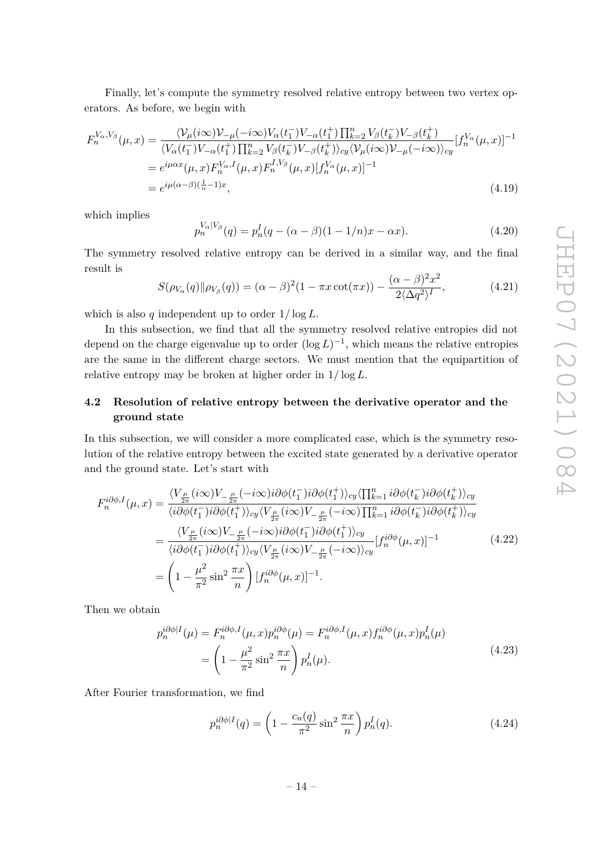Finally, let's compute the symmetry resolved relative entropy between two vertex operators. As before, we begin with

$$
F_n^{V_\alpha, V_\beta}(\mu, x) = \frac{\langle \mathcal{V}_\mu(i\infty) \mathcal{V}_{-\mu}(-i\infty) V_\alpha(t_1^-) V_{-\alpha}(t_1^+) \prod_{k=2}^n V_\beta(t_k^-) V_{-\beta}(t_k^+) }{\langle V_\alpha(t_1^-) V_{-\alpha}(t_1^+) \prod_{k=2}^n V_\beta(t_k^-) V_{-\beta}(t_k^+) \rangle_{cy} \langle \mathcal{V}_\mu(i\infty) \mathcal{V}_{-\mu}(-i\infty) \rangle_{cy}} [f_n^{V_\alpha}(\mu, x)]^{-1}
$$
  
\n
$$
= e^{i\mu\alpha x} (\mu, x) F_n^{V_\alpha, I}(\mu, x) F_n^{I, V_\beta}(\mu, x) [f_n^{V_\alpha}(\mu, x)]^{-1}
$$
  
\n
$$
= e^{i\mu(\alpha-\beta)(\frac{1}{n}-1)x}, \tag{4.19}
$$

which implies

$$
p_n^{V_\alpha|V_\beta}(q) = p_n^I(q - (\alpha - \beta)(1 - 1/n)x - \alpha x). \tag{4.20}
$$

The symmetry resolved relative entropy can be derived in a similar way, and the final result is

$$
S(\rho_{V_{\alpha}}(q)||\rho_{V_{\beta}}(q)) = (\alpha - \beta)^2 (1 - \pi x \cot(\pi x)) - \frac{(\alpha - \beta)^2 x^2}{2\langle \Delta q^2 \rangle^I},
$$
(4.21)

which is also  $q$  independent up to order  $1/\log L$ .

In this subsection, we find that all the symmetry resolved relative entropies did not depend on the charge eigenvalue up to order  $(\log L)^{-1}$ , which means the relative entropies are the same in the different charge sectors. We must mention that the equipartition of relative entropy may be broken at higher order in 1*/* log *L*.

# <span id="page-14-0"></span>**4.2 Resolution of relative entropy between the derivative operator and the ground state**

In this subsection, we will consider a more complicated case, which is the symmetry resolution of the relative entropy between the excited state generated by a derivative operator and the ground state. Let's start with

$$
F_n^{i\partial\phi,I}(\mu,x) = \frac{\langle V_{\frac{\mu}{2\pi}}(i\infty)V_{-\frac{\mu}{2\pi}}(-i\infty)i\partial\phi(t_1^-)i\partial\phi(t_1^+)\rangle_{cy}\langle \prod_{k=1}^n i\partial\phi(t_k^-)i\partial\phi(t_k^+)\rangle_{cy}}{\langle i\partial\phi(t_1^-)i\partial\phi(t_1^+)\rangle_{cy}\langle V_{\frac{\mu}{2\pi}}(i\infty)V_{-\frac{\mu}{2\pi}}(-i\infty)\prod_{k=1}^n i\partial\phi(t_k^-)i\partial\phi(t_k^+)\rangle_{cy}} \\
= \frac{\langle V_{\frac{\mu}{2\pi}}(i\infty)V_{-\frac{\mu}{2\pi}}(-i\infty)i\partial\phi(t_1^-)i\partial\phi(t_1^+)\rangle_{cy}}{\langle i\partial\phi(t_1^-)i\partial\phi(t_1^+)\rangle_{cy}\langle V_{\frac{\mu}{2\pi}}(i\infty)V_{-\frac{\mu}{2\pi}}(-i\infty)\rangle_{cy}}[f_n^{i\partial\phi}(\mu,x)]^{-1} \n= \left(1 - \frac{\mu^2}{\pi^2}\sin^2\frac{\pi x}{n}\right)[f_n^{i\partial\phi}(\mu,x)]^{-1}.
$$
\n(4.22)

<span id="page-14-1"></span>Then we obtain

$$
p_n^{i\partial\phi|I}(\mu) = F_n^{i\partial\phi,I}(\mu,x)p_n^{i\partial\phi}(\mu) = F_n^{i\partial\phi,I}(\mu,x)f_n^{i\partial\phi}(\mu,x)p_n^I(\mu)
$$

$$
= \left(1 - \frac{\mu^2}{\pi^2}\sin^2\frac{\pi x}{n}\right)p_n^I(\mu).
$$
(4.23)

After Fourier transformation, we find

$$
p_n^{i\partial\phi|I}(q) = \left(1 - \frac{c_n(q)}{\pi^2}\sin^2\frac{\pi x}{n}\right)p_n^I(q). \tag{4.24}
$$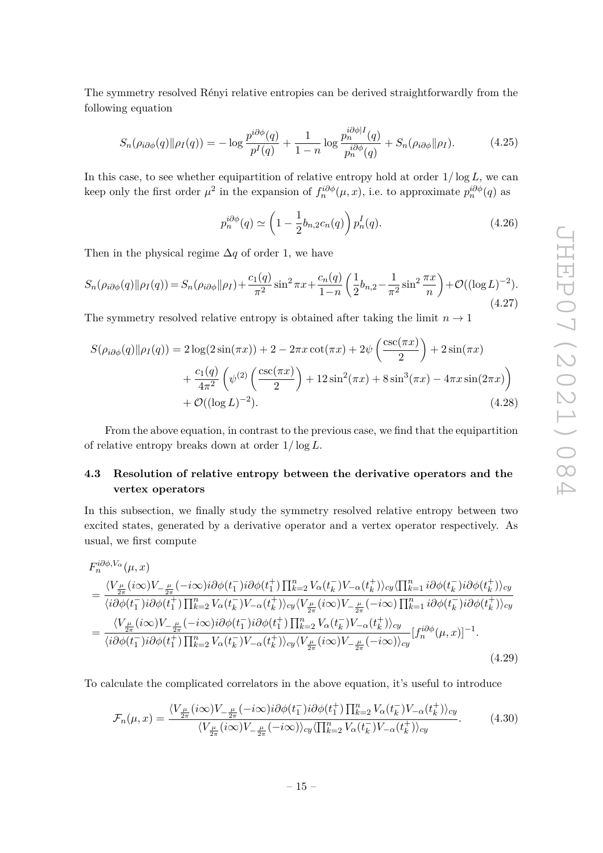The symmetry resolved Rényi relative entropies can be derived straightforwardly from the following equation

$$
S_n(\rho_{i\partial\phi}(q)||\rho_I(q)) = -\log \frac{p^{i\partial\phi}(q)}{p^I(q)} + \frac{1}{1-n} \log \frac{p_n^{i\partial\phi|I}(q)}{p_n^{i\partial\phi}(q)} + S_n(\rho_{i\partial\phi}||\rho_I). \tag{4.25}
$$

In this case, to see whether equipartition of relative entropy hold at order  $1/\log L$ , we can keep only the first order  $\mu^2$  in the expansion of  $f_n^{i\partial \phi}(\mu, x)$ , i.e. to approximate  $p_n^{i\partial \phi}(q)$  as

$$
p_n^{i\partial\phi}(q) \simeq \left(1 - \frac{1}{2}b_{n,2}c_n(q)\right) p_n^I(q). \tag{4.26}
$$

Then in the physical regime  $\Delta q$  of order 1, we have

$$
S_n(\rho_{i\partial\phi}(q)||\rho_I(q)) = S_n(\rho_{i\partial\phi}||\rho_I) + \frac{c_1(q)}{\pi^2}\sin^2\pi x + \frac{c_n(q)}{1-n}\left(\frac{1}{2}b_{n,2} - \frac{1}{\pi^2}\sin^2\frac{\pi x}{n}\right) + \mathcal{O}((\log L)^{-2}).
$$
\n(4.27)

The symmetry resolved relative entropy is obtained after taking the limit  $n \to 1$ 

$$
S(\rho_{i\partial\phi}(q)||\rho_I(q)) = 2\log(2\sin(\pi x)) + 2 - 2\pi x \cot(\pi x) + 2\psi\left(\frac{\csc(\pi x)}{2}\right) + 2\sin(\pi x) + \frac{c_1(q)}{4\pi^2} \left(\psi^{(2)}\left(\frac{\csc(\pi x)}{2}\right) + 12\sin^2(\pi x) + 8\sin^3(\pi x) - 4\pi x \sin(2\pi x)\right) + \mathcal{O}((\log L)^{-2}).
$$
\n(4.28)

From the above equation, in contrast to the previous case, we find that the equipartition of relative entropy breaks down at order 1*/* log *L*.

# <span id="page-15-0"></span>**4.3 Resolution of relative entropy between the derivative operators and the vertex operators**

In this subsection, we finally study the symmetry resolved relative entropy between two excited states, generated by a derivative operator and a vertex operator respectively. As usual, we first compute

$$
F_n^{i\partial\phi, V_\alpha}(\mu, x)
$$
\n
$$
= \frac{\langle V_{\frac{\mu}{2\pi}}(i\infty)V_{-\frac{\mu}{2\pi}}(-i\infty)i\partial\phi(t_1^-)i\partial\phi(t_1^+) \prod_{k=2}^n V_\alpha(t_k^-) V_{-\alpha}(t_k^+) \rangle_{cy} \langle \prod_{k=1}^n i\partial\phi(t_k^-)i\partial\phi(t_k^+) \rangle_{cy}}{\langle i\partial\phi(t_1^-)i\partial\phi(t_1^+) \prod_{k=2}^n V_\alpha(t_k^-) V_{-\alpha}(t_k^+) \rangle_{cy} \langle V_{\frac{\mu}{2\pi}}(i\infty) V_{-\frac{\mu}{2\pi}}(-i\infty) \prod_{k=1}^n i\partial\phi(t_k^-)i\partial\phi(t_k^+) \rangle_{cy}}\n= \frac{\langle V_{\frac{\mu}{2\pi}}(i\infty)V_{-\frac{\mu}{2\pi}}(-i\infty)i\partial\phi(t_1^-)i\partial\phi(t_1^+) \prod_{k=2}^n V_\alpha(t_k^-) V_{-\alpha}(t_k^+) \rangle_{cy}}{\langle i\partial\phi(t_1^-)i\partial\phi(t_1^+) \prod_{k=2}^n V_\alpha(t_k^-) V_{-\alpha}(t_k^+) \rangle_{cy} \langle V_{\frac{\mu}{2\pi}}(i\infty) V_{-\frac{\mu}{2\pi}}(-i\infty) \rangle_{cy}} [f_n^{i\partial\phi}(\mu, x)]^{-1}.
$$
\n(4.29)

To calculate the complicated correlators in the above equation, it's useful to introduce

$$
\mathcal{F}_n(\mu, x) = \frac{\langle V_{\frac{\mu}{2\pi}}(i\infty)V_{-\frac{\mu}{2\pi}}(-i\infty)i\partial\phi(t_1^-)i\partial\phi(t_1^+) \prod_{k=2}^n V_\alpha(t_k^-) V_{-\alpha}(t_k^+) \rangle_{cy}}{\langle V_{\frac{\mu}{2\pi}}(i\infty)V_{-\frac{\mu}{2\pi}}(-i\infty) \rangle_{cy} \langle \prod_{k=2}^n V_\alpha(t_k^-) V_{-\alpha}(t_k^+) \rangle_{cy}}.
$$
(4.30)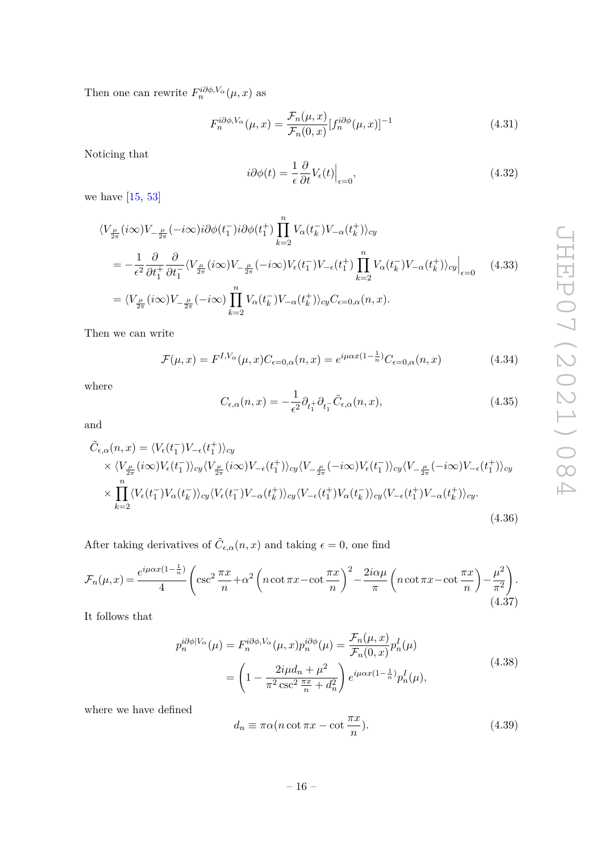Then one can rewrite  $F_n^{i\partial \phi, V_\alpha}(\mu, x)$  as

$$
F_n^{i\partial\phi, V_\alpha}(\mu, x) = \frac{\mathcal{F}_n(\mu, x)}{\mathcal{F}_n(0, x)} [f_n^{i\partial\phi}(\mu, x)]^{-1}
$$
(4.31)

Noticing that

$$
i\partial\phi(t) = \frac{1}{\epsilon} \frac{\partial}{\partial t} V_{\epsilon}(t) \Big|_{\epsilon=0},\tag{4.32}
$$

we have [\[15,](#page-22-12) [53\]](#page-24-10)

$$
\langle V_{\frac{\mu}{2\pi}}(i\infty)V_{-\frac{\mu}{2\pi}}(-i\infty)i\partial\phi(t_1^-)i\partial\phi(t_1^+) \prod_{k=2}^n V_{\alpha}(t_k^-) V_{-\alpha}(t_k^+) \rangle_{cy}
$$
  
\n
$$
= -\frac{1}{\epsilon^2} \frac{\partial}{\partial t_1^+} \frac{\partial}{\partial t_1^-} \langle V_{\frac{\mu}{2\pi}}(i\infty)V_{-\frac{\mu}{2\pi}}(-i\infty)V_{\epsilon}(t_1^-) V_{-\epsilon}(t_1^+) \prod_{k=2}^n V_{\alpha}(t_k^-) V_{-\alpha}(t_k^+) \rangle_{cy} \Big|_{\epsilon=0} \quad (4.33)
$$
  
\n
$$
= \langle V_{\frac{\mu}{2\pi}}(i\infty)V_{-\frac{\mu}{2\pi}}(-i\infty) \prod_{k=2}^n V_{\alpha}(t_k^-) V_{-\alpha}(t_k^+) \rangle_{cy} C_{\epsilon=0,\alpha}(n,x).
$$

Then we can write

$$
\mathcal{F}(\mu, x) = F^{I, V_{\alpha}}(\mu, x) C_{\epsilon=0, \alpha}(n, x) = e^{i\mu\alpha x (1 - \frac{1}{n})} C_{\epsilon=0, \alpha}(n, x)
$$
(4.34)

where

$$
C_{\epsilon,\alpha}(n,x) = -\frac{1}{\epsilon^2} \partial_{t_1^+} \partial_{t_1^-} \tilde{C}_{\epsilon,\alpha}(n,x), \qquad (4.35)
$$

and

$$
\tilde{C}_{\epsilon,\alpha}(n,x) = \langle V_{\epsilon}(t_{1}^{-})V_{-\epsilon}(t_{1}^{+})\rangle_{cy} \times \langle V_{\frac{\mu}{2\pi}}(i\infty)V_{\epsilon}(t_{1}^{-})\rangle_{cy}\langle V_{\frac{\mu}{2\pi}}(i\infty)V_{-\epsilon}(t_{1}^{+})\rangle_{cy}\langle V_{-\frac{\mu}{2\pi}}(-i\infty)V_{\epsilon}(t_{1}^{-})\rangle_{cy}\langle V_{-\frac{\mu}{2\pi}}(-i\infty)V_{-\epsilon}(t_{1}^{+})\rangle_{cy} \times \prod_{k=2}^{n} \langle V_{\epsilon}(t_{1}^{-})V_{\alpha}(t_{k}^{-})\rangle_{cy}\langle V_{\epsilon}(t_{1}^{-})V_{-\alpha}(t_{k}^{+})\rangle_{cy}\langle V_{-\epsilon}(t_{1}^{+})V_{\alpha}(t_{k}^{-})\rangle_{cy}\langle V_{-\epsilon}(t_{1}^{+})V_{-\alpha}(t_{k}^{+})\rangle_{cy}.
$$
\n(4.36)

After taking derivatives of  $\tilde{C}_{\epsilon,\alpha}(n,x)$  and taking  $\epsilon = 0$ , one find

$$
\mathcal{F}_n(\mu, x) = \frac{e^{i\mu\alpha x (1 - \frac{1}{n})}}{4} \left( \csc^2 \frac{\pi x}{n} + \alpha^2 \left( n \cot \pi x - \cot \frac{\pi x}{n} \right)^2 - \frac{2i\alpha\mu}{\pi} \left( n \cot \pi x - \cot \frac{\pi x}{n} \right) - \frac{\mu^2}{\pi^2} \right). \tag{4.37}
$$

<span id="page-16-0"></span>It follows that

$$
p_n^{i\partial\phi|V_{\alpha}}(\mu) = F_n^{i\partial\phi, V_{\alpha}}(\mu, x)p_n^{i\partial\phi}(\mu) = \frac{\mathcal{F}_n(\mu, x)}{\mathcal{F}_n(0, x)} p_n^I(\mu)
$$

$$
= \left(1 - \frac{2i\mu d_n + \mu^2}{\pi^2 \csc^2 \frac{\pi x}{n} + d_n^2}\right) e^{i\mu\alpha x (1 - \frac{1}{n})} p_n^I(\mu), \tag{4.38}
$$

where we have defined

$$
d_n \equiv \pi \alpha (n \cot \pi x - \cot \frac{\pi x}{n}).
$$
\n(4.39)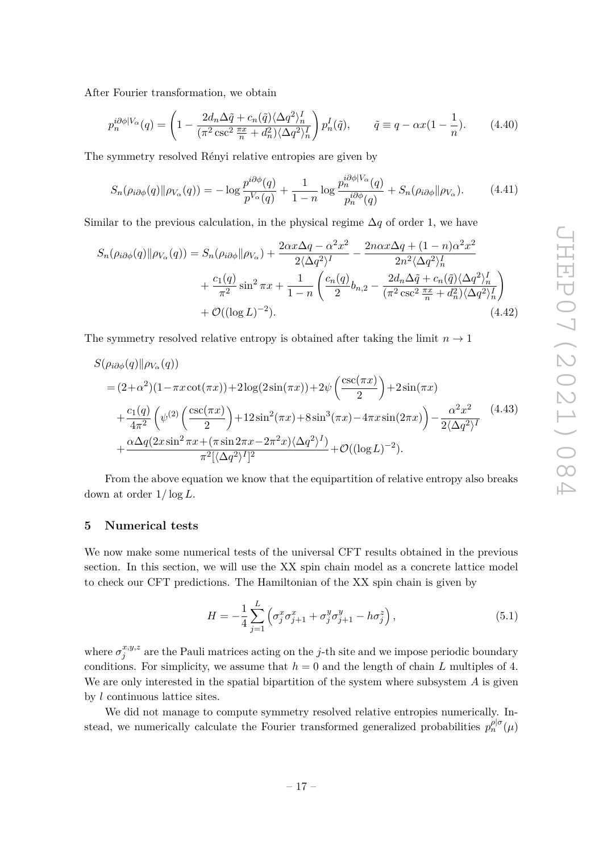After Fourier transformation, we obtain

$$
p_n^{i\partial\phi|V_\alpha}(q) = \left(1 - \frac{2d_n\Delta\tilde{q} + c_n(\tilde{q})\langle\Delta q^2\rangle_n^I}{(\pi^2 \csc^2 \frac{\pi x}{n} + d_n^2)\langle\Delta q^2\rangle_n^I}\right) p_n^I(\tilde{q}), \qquad \tilde{q} \equiv q - \alpha x (1 - \frac{1}{n}).\tag{4.40}
$$

The symmetry resolved Rényi relative entropies are given by

$$
S_n(\rho_{i\partial\phi}(q)||\rho_{V_\alpha}(q)) = -\log \frac{p^{i\partial\phi}(q)}{p^{V_\alpha}(q)} + \frac{1}{1-n} \log \frac{p_n^{i\partial\phi|V_\alpha}(q)}{p_n^{i\partial\phi}(q)} + S_n(\rho_{i\partial\phi}||\rho_{V_\alpha}).\tag{4.41}
$$

Similar to the previous calculation, in the physical regime  $\Delta q$  of order 1, we have

$$
S_n(\rho_{i\partial\phi}(q)||\rho_{V_{\alpha}}(q)) = S_n(\rho_{i\partial\phi}||\rho_{V_{\alpha}}) + \frac{2\alpha x \Delta q - \alpha^2 x^2}{2\langle\Delta q^2\rangle^I} - \frac{2n\alpha x \Delta q + (1 - n)\alpha^2 x^2}{2n^2 \langle\Delta q^2\rangle_n^I} + \frac{c_1(q)}{\pi^2} \sin^2 \pi x + \frac{1}{1 - n} \left(\frac{c_n(q)}{2} b_{n,2} - \frac{2d_n \Delta \tilde{q} + c_n(\tilde{q}) \langle\Delta q^2\rangle_n^I}{(\pi^2 \csc^2 \frac{\pi x}{n} + d_n^2) \langle\Delta q^2\rangle_n^I}\right) + \mathcal{O}((\log L)^{-2}).
$$
\n(4.42)

The symmetry resolved relative entropy is obtained after taking the limit  $n \to 1$ 

$$
S(\rho_{i\partial\phi}(q)||\rho_{V_{\alpha}}(q))
$$
  
=  $(2+\alpha^2)(1-\pi x \cot(\pi x)) + 2\log(2\sin(\pi x)) + 2\psi\left(\frac{\csc(\pi x)}{2}\right) + 2\sin(\pi x)$   
+  $\frac{c_1(q)}{4\pi^2}\left(\psi^{(2)}\left(\frac{\csc(\pi x)}{2}\right) + 12\sin^2(\pi x) + 8\sin^3(\pi x) - 4\pi x \sin(2\pi x)\right) - \frac{\alpha^2 x^2}{2\langle\Delta q^2\rangle^I}$   
+  $\frac{\alpha\Delta q(2x\sin^2 \pi x + (\pi \sin 2\pi x - 2\pi^2 x)\langle\Delta q^2\rangle^I)}{\pi^2[\langle\Delta q^2\rangle^I]^2} + \mathcal{O}((\log L)^{-2}).$  (4.43)

From the above equation we know that the equipartition of relative entropy also breaks down at order 1*/* log *L*.

# <span id="page-17-0"></span>**5 Numerical tests**

We now make some numerical tests of the universal CFT results obtained in the previous section. In this section, we will use the XX spin chain model as a concrete lattice model to check our CFT predictions. The Hamiltonian of the XX spin chain is given by

$$
H = -\frac{1}{4} \sum_{j=1}^{L} \left( \sigma_j^x \sigma_{j+1}^x + \sigma_j^y \sigma_{j+1}^y - h \sigma_j^z \right), \tag{5.1}
$$

where  $\sigma_i^{x,y,z}$  $j^{x,y,z}$  are the Pauli matrices acting on the *j*-th site and we impose periodic boundary conditions. For simplicity, we assume that  $h = 0$  and the length of chain *L* multiples of 4. We are only interested in the spatial bipartition of the system where subsystem *A* is given by *l* continuous lattice sites.

We did not manage to compute symmetry resolved relative entropies numerically. Instead, we numerically calculate the Fourier transformed generalized probabilities  $p_n^{\rho|\sigma}(\mu)$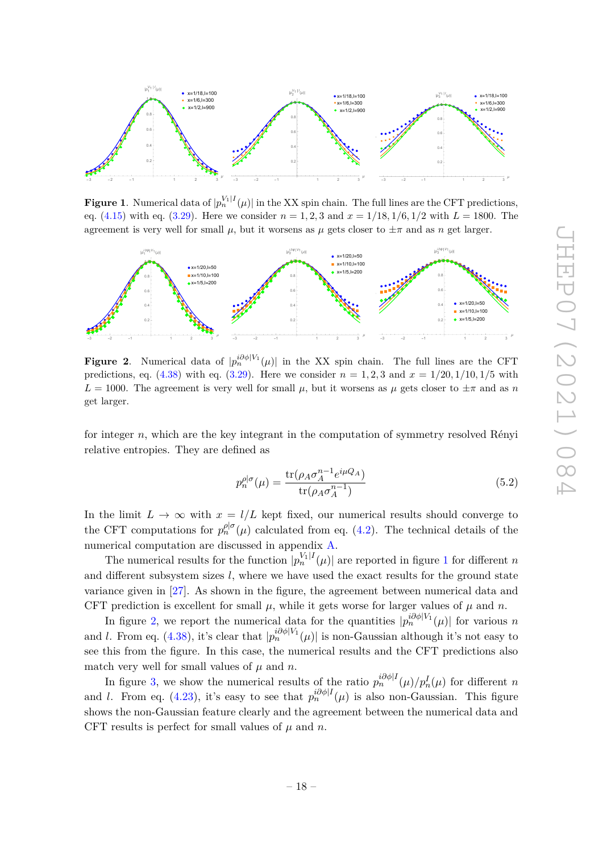

<span id="page-18-0"></span>**Figure 1**. Numerical data of  $|p_n^{V_1|I}(\mu)|$  in the XX spin chain. The full lines are the CFT predictions, eq.  $(4.15)$  with eq.  $(3.29)$ . Here we consider  $n = 1, 2, 3$  and  $x = 1/18, 1/6, 1/2$  with  $L = 1800$ . The agreement is very well for small  $\mu$ , but it worsens as  $\mu$  gets closer to  $\pm \pi$  and as *n* get larger.



<span id="page-18-1"></span>**Figure 2.** Numerical data of  $|p_n^{i\partial\phi|V_1}(\mu)|$  in the XX spin chain. The full lines are the CFT predictions, eq. [\(4.38\)](#page-16-0) with eq. [\(3.29\)](#page-9-3). Here we consider  $n = 1, 2, 3$  and  $x = 1/20, 1/10, 1/5$  with  $L = 1000$ . The agreement is very well for small  $\mu$ , but it worsens as  $\mu$  gets closer to  $\pm \pi$  and as *n* get larger.

for integer *n*, which are the key integrant in the computation of symmetry resolved Rényi relative entropies. They are defined as

$$
p_n^{\rho|\sigma}(\mu) = \frac{\text{tr}(\rho_A \sigma_A^{n-1} e^{i\mu Q_A})}{\text{tr}(\rho_A \sigma_A^{n-1})}
$$
(5.2)

In the limit  $L \to \infty$  with  $x = l/L$  kept fixed, our numerical results should converge to the CFT computations for  $p_n^{\rho|\sigma}(\mu)$  calculated from eq. [\(4.2\)](#page-11-2). The technical details of the numerical computation are discussed in appendix [A.](#page-19-1)

The numerical results for the function  $|p_n^{V_1|I}(\mu)|$  $|p_n^{V_1|I}(\mu)|$  $|p_n^{V_1|I}(\mu)|$  are reported in figure 1 for different *n* and different subsystem sizes *l*, where we have used the exact results for the ground state variance given in [\[27\]](#page-23-7). As shown in the figure, the agreement between numerical data and CFT prediction is excellent for small  $\mu$ , while it gets worse for larger values of  $\mu$  and  $n$ .

In figure [2,](#page-18-1) we report the numerical data for the quantities  $|p_n^{i\partial \phi|V_1}(\mu)|$  for various *n* and *l*. From eq. [\(4.38\)](#page-16-0), it's clear that  $|p_n^{i\partial \phi|V_1}(\mu)|$  is non-Gaussian although it's not easy to see this from the figure. In this case, the numerical results and the CFT predictions also match very well for small values of  $\mu$  and  $n$ .

In figure [3,](#page-19-2) we show the numerical results of the ratio  $p_n^{i\partial\phi|I}(\mu)/p_n^I(\mu)$  for different *n n* and *l*. From eq. [\(4.23\)](#page-14-1), it's easy to see that  $p_n^{i\partial\phi|I}(\mu)$  is also non-Gaussian. This figure shows the non-Gaussian feature clearly and the agreement between the numerical data and CFT results is perfect for small values of  $\mu$  and  $n$ .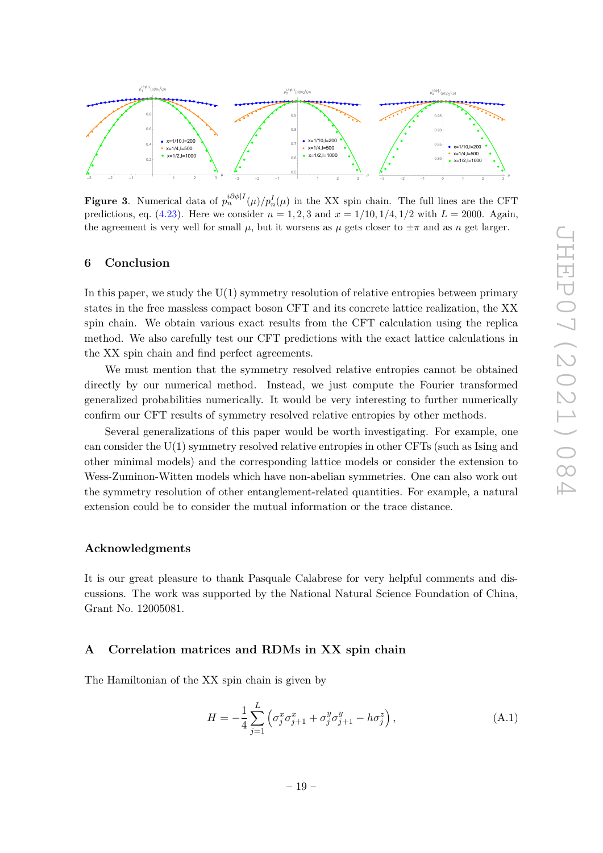

<span id="page-19-2"></span>**Figure 3**. Numerical data of  $p_n^{i\partial\phi|I}(\mu)/p_n^I(\mu)$  in the XX spin chain. The full lines are the CFT predictions, eq.  $(4.23)$ . Here we consider  $n = 1, 2, 3$  and  $x = 1/10, 1/4, 1/2$  with  $L = 2000$ . Again, the agreement is very well for small  $\mu$ , but it worsens as  $\mu$  gets closer to  $\pm \pi$  and as *n* get larger.

# <span id="page-19-0"></span>**6 Conclusion**

In this paper, we study the  $U(1)$  symmetry resolution of relative entropies between primary states in the free massless compact boson CFT and its concrete lattice realization, the XX spin chain. We obtain various exact results from the CFT calculation using the replica method. We also carefully test our CFT predictions with the exact lattice calculations in the XX spin chain and find perfect agreements.

We must mention that the symmetry resolved relative entropies cannot be obtained directly by our numerical method. Instead, we just compute the Fourier transformed generalized probabilities numerically. It would be very interesting to further numerically confirm our CFT results of symmetry resolved relative entropies by other methods.

Several generalizations of this paper would be worth investigating. For example, one can consider the U(1) symmetry resolved relative entropies in other CFTs (such as Ising and other minimal models) and the corresponding lattice models or consider the extension to Wess-Zuminon-Witten models which have non-abelian symmetries. One can also work out the symmetry resolution of other entanglement-related quantities. For example, a natural extension could be to consider the mutual information or the trace distance.

## **Acknowledgments**

It is our great pleasure to thank Pasquale Calabrese for very helpful comments and discussions. The work was supported by the National Natural Science Foundation of China, Grant No. 12005081.

# <span id="page-19-1"></span>**A Correlation matrices and RDMs in XX spin chain**

The Hamiltonian of the XX spin chain is given by

$$
H = -\frac{1}{4} \sum_{j=1}^{L} \left( \sigma_j^x \sigma_{j+1}^x + \sigma_j^y \sigma_{j+1}^y - h \sigma_j^z \right), \tag{A.1}
$$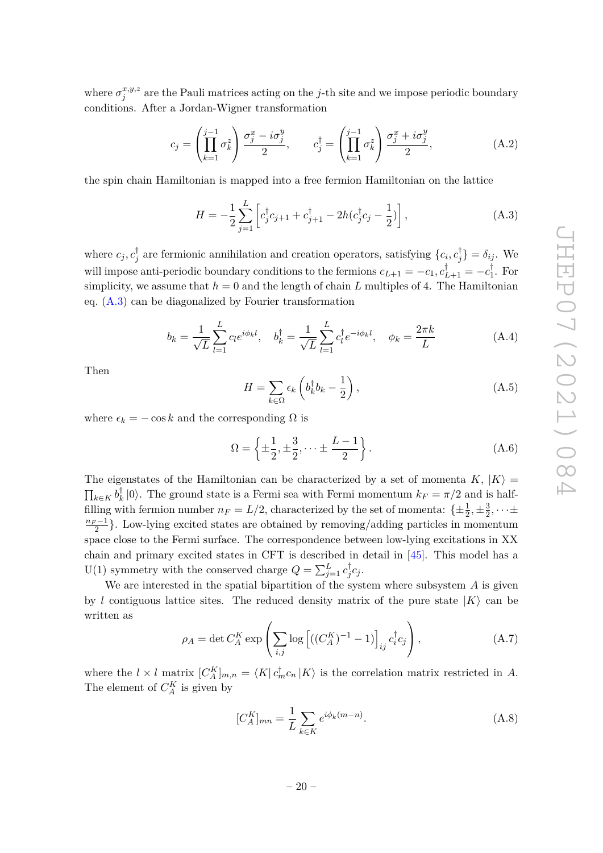where  $\sigma_i^{x,y,z}$  $j^{x,y,z}$  are the Pauli matrices acting on the *j*-th site and we impose periodic boundary conditions. After a Jordan-Wigner transformation

$$
c_j = \left(\prod_{k=1}^{j-1} \sigma_k^z\right) \frac{\sigma_j^x - i\sigma_j^y}{2}, \qquad c_j^{\dagger} = \left(\prod_{k=1}^{j-1} \sigma_k^z\right) \frac{\sigma_j^x + i\sigma_j^y}{2}, \tag{A.2}
$$

the spin chain Hamiltonian is mapped into a free fermion Hamiltonian on the lattice

<span id="page-20-0"></span>
$$
H = -\frac{1}{2} \sum_{j=1}^{L} \left[ c_j^{\dagger} c_{j+1} + c_{j+1}^{\dagger} - 2h(c_j^{\dagger} c_j - \frac{1}{2}) \right],
$$
 (A.3)

where  $c_j, c_j^{\dagger}$ <sup>†</sup><sub>*j*</sub> are fermionic annihilation and creation operators, satisfying  $\{c_i, c_j^{\dagger}$  $\{\theta_j^{\mathsf{T}}\} = \delta_{ij}$ . We will impose anti-periodic boundary conditions to the fermions  $c_{L+1} = -c_1, c_{L+1}^{\dagger} = -c_1^{\dagger}$  $E_1^{\dagger}$ . For simplicity, we assume that  $h = 0$  and the length of chain L multiples of 4. The Hamiltonian eq.  $(A.3)$  can be diagonalized by Fourier transformation

$$
b_k = \frac{1}{\sqrt{L}} \sum_{l=1}^{L} c_l e^{i\phi_k l}, \quad b_k^{\dagger} = \frac{1}{\sqrt{L}} \sum_{l=1}^{L} c_l^{\dagger} e^{-i\phi_k l}, \quad \phi_k = \frac{2\pi k}{L}
$$
(A.4)

Then

$$
H = \sum_{k \in \Omega} \epsilon_k \left( b_k^{\dagger} b_k - \frac{1}{2} \right), \tag{A.5}
$$

where  $\epsilon_k = -\cos k$  and the corresponding  $\Omega$  is

$$
\Omega = \left\{ \pm \frac{1}{2}, \pm \frac{3}{2}, \dots \pm \frac{L-1}{2} \right\}.
$$
\n(A.6)

The eigenstates of the Hamiltonian can be characterized by a set of momenta  $K, |K\rangle =$  $\prod_{k \in K} b^{\dagger}_k$  $\binom{7}{k}$  (0). The ground state is a Fermi sea with Fermi momentum  $k_F = \pi/2$  and is halffilling with fermion number  $n_F = L/2$ , characterized by the set of momenta:  $\{\pm \frac{1}{2}, \pm \frac{3}{2}$  $\frac{3}{2}, \cdots \pm$  $\frac{n_F-1}{2}$ . Low-lying excited states are obtained by removing/adding particles in momentum space close to the Fermi surface. The correspondence between low-lying excitations in XX chain and primary excited states in CFT is described in detail in [\[45\]](#page-24-2). This model has a U(1) symmetry with the conserved charge  $Q = \sum_{j=1}^{L} c_j^{\dagger}$  $\int_{j}^{\infty}$ *c<sub>j</sub>*.

We are interested in the spatial bipartition of the system where subsystem *A* is given by *l* contiguous lattice sites. The reduced density matrix of the pure state  $|K\rangle$  can be written as

$$
\rho_A = \det C_A^K \exp\left(\sum_{i,j} \log\left[((C_A^K)^{-1} - 1)\right]_{ij} c_i^{\dagger} c_j\right),\tag{A.7}
$$

where the  $l \times l$  matrix  $[C_A^K]_{m,n} = \langle K | c_m^{\dagger} c_n | K \rangle$  is the correlation matrix restricted in *A*. The element of  $C_A^K$  is given by

$$
[C_A^K]_{mn} = \frac{1}{L} \sum_{k \in K} e^{i\phi_k(m-n)}.
$$
 (A.8)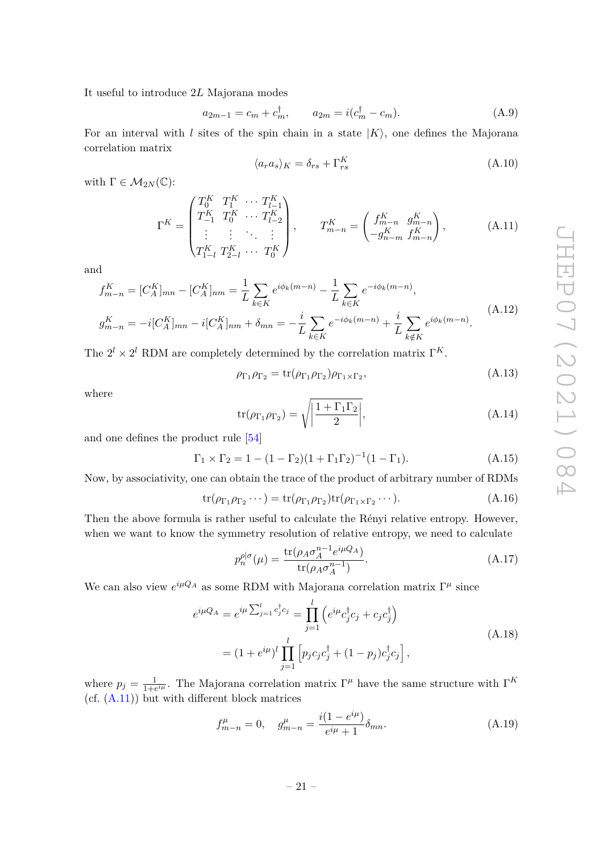It useful to introduce 2*L* Majorana modes

$$
a_{2m-1} = c_m + c_m^{\dagger}, \qquad a_{2m} = i(c_m^{\dagger} - c_m). \tag{A.9}
$$

For an interval with *l* sites of the spin chain in a state  $|K\rangle$ , one defines the Majorana correlation matrix

$$
\langle a_r a_s \rangle_K = \delta_{rs} + \Gamma_{rs}^K \tag{A.10}
$$

with  $\Gamma \in \mathcal{M}_{2N}(\mathbb{C})$ :

<span id="page-21-0"></span>
$$
\Gamma^{K} = \begin{pmatrix} T_{0}^{K} & T_{1}^{K} & \cdots & T_{l-1}^{K} \\ T_{-1}^{K} & T_{0}^{K} & \cdots & T_{l-2}^{K} \\ \vdots & \vdots & \ddots & \vdots \\ T_{1-l}^{K} & T_{2-l}^{K} & \cdots & T_{0}^{K} \end{pmatrix}, \qquad T_{m-n}^{K} = \begin{pmatrix} f_{m-n}^{K} & g_{m-n}^{K} \\ -g_{n-m}^{K} & f_{m-n}^{K} \end{pmatrix}, \qquad (A.11)
$$

and

$$
f_{m-n}^{K} = [C_A^K]_{mn} - [C_A^K]_{nm} = \frac{1}{L} \sum_{k \in K} e^{i\phi_k(m-n)} - \frac{1}{L} \sum_{k \in K} e^{-i\phi_k(m-n)},
$$
  

$$
g_{m-n}^{K} = -i[C_A^K]_{mn} - i[C_A^K]_{nm} + \delta_{mn} = -\frac{i}{L} \sum_{k \in K} e^{-i\phi_k(m-n)} + \frac{i}{L} \sum_{k \notin K} e^{i\phi_k(m-n)}.
$$
 (A.12)

The  $2^l \times 2^l$  RDM are completely determined by the correlation matrix  $\Gamma^K$ .

$$
\rho_{\Gamma_1} \rho_{\Gamma_2} = \text{tr}(\rho_{\Gamma_1} \rho_{\Gamma_2}) \rho_{\Gamma_1 \times \Gamma_2},\tag{A.13}
$$

where

$$
\operatorname{tr}(\rho_{\Gamma_1}\rho_{\Gamma_2}) = \sqrt{\left|\frac{1 + \Gamma_1\Gamma_2}{2}\right|},\tag{A.14}
$$

and one defines the product rule [\[54\]](#page-24-11)

$$
\Gamma_1 \times \Gamma_2 = 1 - (1 - \Gamma_2)(1 + \Gamma_1 \Gamma_2)^{-1}(1 - \Gamma_1).
$$
 (A.15)

Now, by associativity, one can obtain the trace of the product of arbitrary number of RDMs

$$
\operatorname{tr}(\rho_{\Gamma_1}\rho_{\Gamma_2}\cdots) = \operatorname{tr}(\rho_{\Gamma_1}\rho_{\Gamma_2})\operatorname{tr}(\rho_{\Gamma_1\times\Gamma_2}\cdots). \tag{A.16}
$$

Then the above formula is rather useful to calculate the Rényi relative entropy. However, when we want to know the symmetry resolution of relative entropy, we need to calculate

$$
p_n^{\rho|\sigma}(\mu) = \frac{\text{tr}(\rho_A \sigma_A^{n-1} e^{i\mu Q_A})}{\text{tr}(\rho_A \sigma_A^{n-1})}.
$$
\n(A.17)

We can also view  $e^{i\mu Q_A}$  as some RDM with Majorana correlation matrix  $\Gamma^{\mu}$  since

$$
e^{i\mu Q_A} = e^{i\mu \sum_{j=1}^l c_j^{\dagger} c_j} = \prod_{j=1}^l \left( e^{i\mu} c_j^{\dagger} c_j + c_j c_j^{\dagger} \right)
$$
  
=  $(1 + e^{i\mu})^l \prod_{j=1}^l \left[ p_j c_j c_j^{\dagger} + (1 - p_j) c_j^{\dagger} c_j \right],$  (A.18)

where  $p_j = \frac{1}{1+\epsilon}$  $\frac{1}{1+e^{i\mu}}$ . The Majorana correlation matrix Γ<sup> $\mu$ </sup> have the same structure with Γ<sup>K</sup>  $(cf. (A.11))$  $(cf. (A.11))$  $(cf. (A.11))$  but with different block matrices

$$
f_{m-n}^{\mu} = 0, \quad g_{m-n}^{\mu} = \frac{i(1 - e^{i\mu})}{e^{i\mu} + 1} \delta_{mn}.
$$
 (A.19)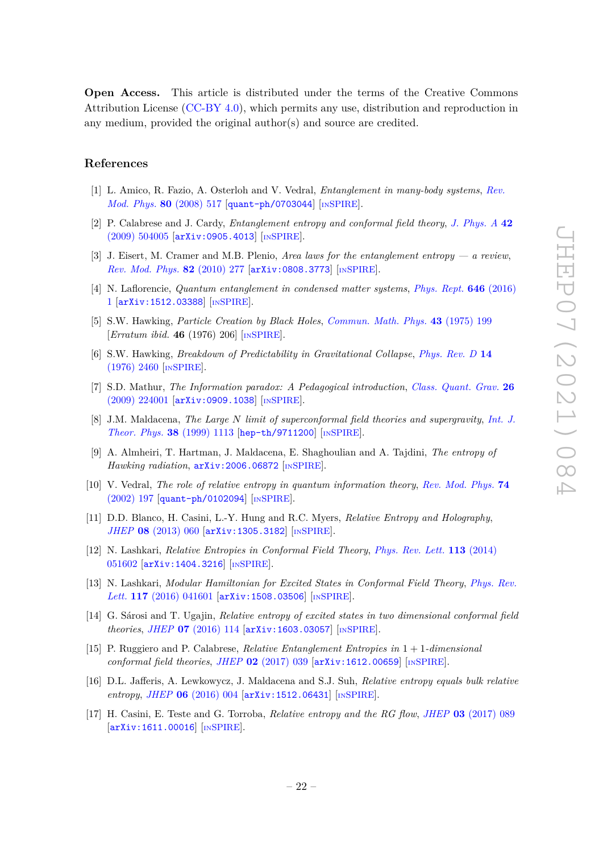**Open Access.** This article is distributed under the terms of the Creative Commons Attribution License [\(CC-BY 4.0\)](https://creativecommons.org/licenses/by/4.0/), which permits any use, distribution and reproduction in any medium, provided the original author(s) and source are credited.

# **References**

- <span id="page-22-0"></span>[1] L. Amico, R. Fazio, A. Osterloh and V. Vedral, *Entanglement in many-body systems*, *[Rev.](https://doi.org/10.1103/RevModPhys.80.517) [Mod. Phys.](https://doi.org/10.1103/RevModPhys.80.517)* **80** (2008) 517 [[quant-ph/0703044](https://arxiv.org/abs/quant-ph/0703044)] [IN[SPIRE](https://inspirehep.net/search?p=find+J%20%22Rev.Mod.Phys.%2C80%2C517%22)].
- <span id="page-22-10"></span>[2] P. Calabrese and J. Cardy, *Entanglement entropy and conformal field theory*, *[J. Phys. A](https://doi.org/10.1088/1751-8113/42/50/504005)* **42** [\(2009\) 504005](https://doi.org/10.1088/1751-8113/42/50/504005) [[arXiv:0905.4013](https://arxiv.org/abs/0905.4013)] [IN[SPIRE](https://inspirehep.net/search?p=find+J%20%22J.Phys.%2CA42%2C504005%22)].
- [3] J. Eisert, M. Cramer and M.B. Plenio, *Area laws for the entanglement entropy a review*, *[Rev. Mod. Phys.](https://doi.org/10.1103/RevModPhys.82.277)* **82** (2010) 277 [[arXiv:0808.3773](https://arxiv.org/abs/0808.3773)] [IN[SPIRE](https://inspirehep.net/search?p=find+J%20%22Rev.Mod.Phys.%2C82%2C277%22)].
- <span id="page-22-1"></span>[4] N. Laflorencie, *Quantum entanglement in condensed matter systems*, *[Phys. Rept.](https://doi.org/10.1016/j.physrep.2016.06.008)* **646** (2016) [1](https://doi.org/10.1016/j.physrep.2016.06.008) [[arXiv:1512.03388](https://arxiv.org/abs/1512.03388)] [IN[SPIRE](https://inspirehep.net/search?p=find+J%20%22Phys.Rept%2C646%2C1%22)].
- <span id="page-22-2"></span>[5] S.W. Hawking, *Particle Creation by Black Holes*, *[Commun. Math. Phys.](https://doi.org/10.1007/BF02345020)* **43** (1975) 199 [*Erratum ibid.* **46** (1976) 206] [IN[SPIRE](https://inspirehep.net/search?p=find+J%20%22Commun.Math.Phys.%2C43%2C199%22)].
- [6] S.W. Hawking, *Breakdown of Predictability in Gravitational Collapse*, *[Phys. Rev. D](https://doi.org/10.1103/PhysRevD.14.2460)* **14** [\(1976\) 2460](https://doi.org/10.1103/PhysRevD.14.2460) [IN[SPIRE](https://inspirehep.net/search?p=find+J%20%22Phys.Rev.%2CD14%2C2460%22)].
- <span id="page-22-3"></span>[7] S.D. Mathur, *The Information paradox: A Pedagogical introduction*, *[Class. Quant. Grav.](https://doi.org/10.1088/0264-9381/26/22/224001)* **26** [\(2009\) 224001](https://doi.org/10.1088/0264-9381/26/22/224001) [[arXiv:0909.1038](https://arxiv.org/abs/0909.1038)] [IN[SPIRE](https://inspirehep.net/search?p=find+J%20%22Class.Quant.Grav.%2C26%2C224001%22)].
- <span id="page-22-4"></span>[8] J.M. Maldacena, *The Large N limit of superconformal field theories and supergravity*, *[Int. J.](https://doi.org/10.1023/A:1026654312961) [Theor. Phys.](https://doi.org/10.1023/A:1026654312961)* **38** (1999) 1113 [[hep-th/9711200](https://arxiv.org/abs/hep-th/9711200)] [IN[SPIRE](https://inspirehep.net/search?p=find+J%20%22Adv.Theor.Math.Phys.%2C2%2C231%22)].
- <span id="page-22-5"></span>[9] A. Almheiri, T. Hartman, J. Maldacena, E. Shaghoulian and A. Tajdini, *The entropy of Hawking radiation*, [arXiv:2006.06872](https://arxiv.org/abs/2006.06872) [IN[SPIRE](https://inspirehep.net/search?p=find+EPRINT%2BarXiv%3A2006.06872)].
- <span id="page-22-6"></span>[10] V. Vedral, *The role of relative entropy in quantum information theory*, *[Rev. Mod. Phys.](https://doi.org/10.1103/RevModPhys.74.197)* **74** [\(2002\) 197](https://doi.org/10.1103/RevModPhys.74.197) [[quant-ph/0102094](https://arxiv.org/abs/quant-ph/0102094)] [IN[SPIRE](https://inspirehep.net/search?p=find+J%20%22Rev.Mod.Phys.%2C74%2C197%22)].
- <span id="page-22-7"></span>[11] D.D. Blanco, H. Casini, L.-Y. Hung and R.C. Myers, *Relative Entropy and Holography*, *JHEP* **08** [\(2013\) 060](https://doi.org/10.1007/JHEP08(2013)060) [[arXiv:1305.3182](https://arxiv.org/abs/1305.3182)] [IN[SPIRE](https://inspirehep.net/search?p=find+J%20%22JHEP%2C1308%2C060%22%20and%20year%3D2013)].
- <span id="page-22-8"></span>[12] N. Lashkari, *Relative Entropies in Conformal Field Theory*, *[Phys. Rev. Lett.](https://doi.org/10.1103/PhysRevLett.113.051602)* **113** (2014) [051602](https://doi.org/10.1103/PhysRevLett.113.051602) [[arXiv:1404.3216](https://arxiv.org/abs/1404.3216)] [IN[SPIRE](https://inspirehep.net/search?p=find+J%20%22Phys.Rev.Lett.%2C113%2C051602%22)].
- <span id="page-22-9"></span>[13] N. Lashkari, *Modular Hamiltonian for Excited States in Conformal Field Theory*, *[Phys. Rev.](https://doi.org/10.1103/PhysRevLett.117.041601) Lett.* **117** [\(2016\) 041601](https://doi.org/10.1103/PhysRevLett.117.041601) [[arXiv:1508.03506](https://arxiv.org/abs/1508.03506)] [IN[SPIRE](https://inspirehep.net/search?p=find+J%20%22Phys.Rev.Lett.%2C117%2C041601%22)].
- <span id="page-22-11"></span>[14] G. Sárosi and T. Ugajin, *Relative entropy of excited states in two dimensional conformal field theories*, *JHEP* **07** [\(2016\) 114](https://doi.org/10.1007/JHEP07(2016)114) [[arXiv:1603.03057](https://arxiv.org/abs/1603.03057)] [IN[SPIRE](https://inspirehep.net/search?p=find+J%20%22JHEP%2C1607%2C114%22%20and%20year%3D2016)].
- <span id="page-22-12"></span>[15] P. Ruggiero and P. Calabrese, *Relative Entanglement Entropies in* 1 + 1*-dimensional conformal field theories*, *JHEP* **02** [\(2017\) 039](https://doi.org/10.1007/JHEP02(2017)039) [[arXiv:1612.00659](https://arxiv.org/abs/1612.00659)] [IN[SPIRE](https://inspirehep.net/search?p=find+J%20%22JHEP%2C1702%2C039%22%20and%20year%3D2017)].
- [16] D.L. Jafferis, A. Lewkowycz, J. Maldacena and S.J. Suh, *Relative entropy equals bulk relative entropy*, *JHEP* **06** [\(2016\) 004](https://doi.org/10.1007/JHEP06(2016)004) [[arXiv:1512.06431](https://arxiv.org/abs/1512.06431)] [IN[SPIRE](https://inspirehep.net/search?p=find+J%20%22JHEP%2C1606%2C004%22%20and%20year%3D2016)].
- [17] H. Casini, E. Teste and G. Torroba, *Relative entropy and the RG flow*, *JHEP* **03** [\(2017\) 089](https://doi.org/10.1007/JHEP03(2017)089) [[arXiv:1611.00016](https://arxiv.org/abs/1611.00016)] [IN[SPIRE](https://inspirehep.net/search?p=find+J%20%22JHEP%2C1703%2C089%22%20and%20year%3D2017)].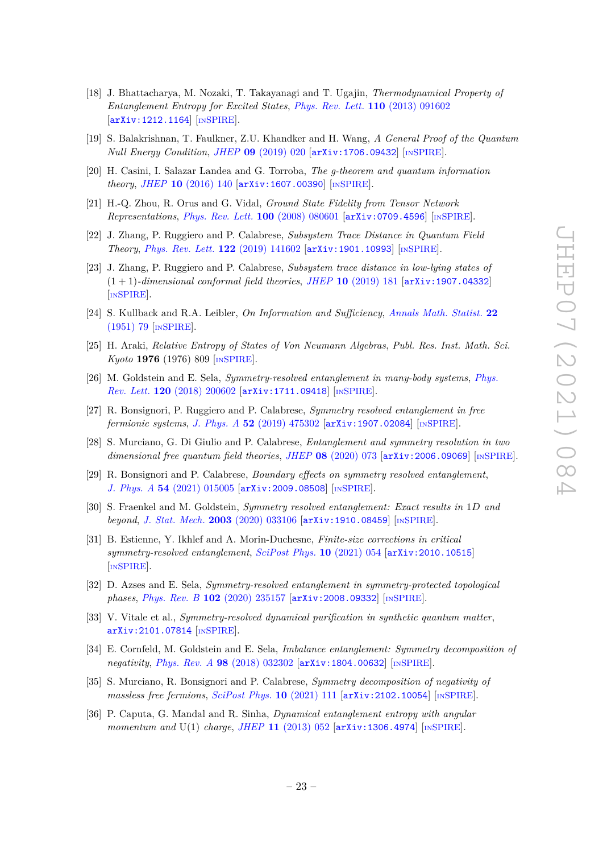- [18] J. Bhattacharya, M. Nozaki, T. Takayanagi and T. Ugajin, *Thermodynamical Property of Entanglement Entropy for Excited States*, *[Phys. Rev. Lett.](https://doi.org/10.1103/PhysRevLett.110.091602)* **110** (2013) 091602 [[arXiv:1212.1164](https://arxiv.org/abs/1212.1164)] [IN[SPIRE](https://inspirehep.net/search?p=find+J%20%22Phys.Rev.Lett.%2C110%2C091602%22)].
- [19] S. Balakrishnan, T. Faulkner, Z.U. Khandker and H. Wang, *A General Proof of the Quantum Null Energy Condition*, *JHEP* **09** [\(2019\) 020](https://doi.org/10.1007/JHEP09(2019)020) [[arXiv:1706.09432](https://arxiv.org/abs/1706.09432)] [IN[SPIRE](https://inspirehep.net/search?p=find+J%20%22JHEP%2C1909%2C020%22%20and%20year%3D2019)].
- <span id="page-23-0"></span>[20] H. Casini, I. Salazar Landea and G. Torroba, *The g-theorem and quantum information theory*, *JHEP* **10** [\(2016\) 140](https://doi.org/10.1007/JHEP10(2016)140) [[arXiv:1607.00390](https://arxiv.org/abs/1607.00390)] [IN[SPIRE](https://inspirehep.net/search?p=find+J%20%22JHEP%2C1610%2C140%22%20and%20year%3D2016)].
- <span id="page-23-1"></span>[21] H.-Q. Zhou, R. Orus and G. Vidal, *Ground State Fidelity from Tensor Network Representations*, *[Phys. Rev. Lett.](https://doi.org/10.1103/PhysRevLett.100.080601)* **100** (2008) 080601 [[arXiv:0709.4596](https://arxiv.org/abs/0709.4596)] [IN[SPIRE](https://inspirehep.net/search?p=find+J%20%22Phys.Rev.Lett.%2C100%2C080601%22)].
- <span id="page-23-2"></span>[22] J. Zhang, P. Ruggiero and P. Calabrese, *Subsystem Trace Distance in Quantum Field Theory*, *[Phys. Rev. Lett.](https://doi.org/10.1103/PhysRevLett.122.141602)* **122** (2019) 141602 [[arXiv:1901.10993](https://arxiv.org/abs/1901.10993)] [IN[SPIRE](https://inspirehep.net/search?p=find+J%20%22Phys.Rev.Lett.%2C122%2C141602%22)].
- <span id="page-23-3"></span>[23] J. Zhang, P. Ruggiero and P. Calabrese, *Subsystem trace distance in low-lying states of* (1 + 1)*-dimensional conformal field theories*, *JHEP* **10** [\(2019\) 181](https://doi.org/10.1007/JHEP10(2019)181) [[arXiv:1907.04332](https://arxiv.org/abs/1907.04332)] [IN[SPIRE](https://inspirehep.net/search?p=find+J%20%22JHEP%2C1910%2C181%22%20and%20year%3D2019)].
- <span id="page-23-4"></span>[24] S. Kullback and R.A. Leibler, *On Information and Sufficiency*, *[Annals Math. Statist.](https://doi.org/10.1214/aoms/1177729694)* **22** [\(1951\) 79](https://doi.org/10.1214/aoms/1177729694) [IN[SPIRE](https://inspirehep.net/search?p=find+J%20%22Annals%20Math.Statist.%2C22%2C79%22)].
- <span id="page-23-5"></span>[25] H. Araki, *Relative Entropy of States of Von Neumann Algebras*, *Publ. Res. Inst. Math. Sci. Kyoto* **1976** (1976) 809 [IN[SPIRE](http://inspirehep.net/record/112789)].
- <span id="page-23-6"></span>[26] M. Goldstein and E. Sela, *Symmetry-resolved entanglement in many-body systems*, *[Phys.](https://doi.org/10.1103/PhysRevLett.120.200602) Rev. Lett.* **120** [\(2018\) 200602](https://doi.org/10.1103/PhysRevLett.120.200602) [[arXiv:1711.09418](https://arxiv.org/abs/1711.09418)] [IN[SPIRE](https://inspirehep.net/search?p=find+J%20%22Phys.Rev.Lett.%2C120%2C200602%22)].
- <span id="page-23-7"></span>[27] R. Bonsignori, P. Ruggiero and P. Calabrese, *Symmetry resolved entanglement in free fermionic systems*, *J. Phys. A* **52** [\(2019\) 475302](https://doi.org/10.1088/1751-8121/ab4b77) [[arXiv:1907.02084](https://arxiv.org/abs/1907.02084)] [IN[SPIRE](https://inspirehep.net/search?p=find+J%20%22J.Phys.%2CA52%2C475302%22)].
- [28] S. Murciano, G. Di Giulio and P. Calabrese, *Entanglement and symmetry resolution in two dimensional free quantum field theories*, *JHEP* **08** [\(2020\) 073](https://doi.org/10.1007/JHEP08(2020)073) [[arXiv:2006.09069](https://arxiv.org/abs/2006.09069)] [IN[SPIRE](https://inspirehep.net/search?p=find+J%20%22JHEP%2C2008%2C073%22%20and%20year%3D2020)].
- [29] R. Bonsignori and P. Calabrese, *Boundary effects on symmetry resolved entanglement*, *J. Phys. A* **54** [\(2021\) 015005](https://doi.org/10.1088/1751-8121/abcc3a) [[arXiv:2009.08508](https://arxiv.org/abs/2009.08508)] [IN[SPIRE](https://inspirehep.net/search?p=find+J%20%22J.Phys.%2CA54%2C015005%22)].
- [30] S. Fraenkel and M. Goldstein, *Symmetry resolved entanglement: Exact results in* 1*D and beyond*, *[J. Stat. Mech.](https://doi.org/10.1088/1742-5468/ab7753)* **2003** (2020) 033106 [[arXiv:1910.08459](https://arxiv.org/abs/1910.08459)] [IN[SPIRE](https://inspirehep.net/search?p=find+J%20%22J.Stat.Mech.%2C2003%2C033106%22)].
- [31] B. Estienne, Y. Ikhlef and A. Morin-Duchesne, *Finite-size corrections in critical symmetry-resolved entanglement*, *[SciPost Phys.](https://doi.org/10.21468/SciPostPhys.10.3.054)* **10** (2021) 054 [[arXiv:2010.10515](https://arxiv.org/abs/2010.10515)] [IN[SPIRE](https://inspirehep.net/search?p=find+J%20%22SciPost%20Phys.%2C10%2C054%22)].
- [32] D. Azses and E. Sela, *Symmetry-resolved entanglement in symmetry-protected topological phases*, *Phys. Rev. B* **102** [\(2020\) 235157](https://doi.org/10.1103/PhysRevB.102.235157) [[arXiv:2008.09332](https://arxiv.org/abs/2008.09332)] [IN[SPIRE](https://inspirehep.net/search?p=find+J%20%22Phys.Rev.%2CB102%2C235157%22)].
- <span id="page-23-8"></span>[33] V. Vitale et al., *Symmetry-resolved dynamical purification in synthetic quantum matter*, [arXiv:2101.07814](https://arxiv.org/abs/2101.07814) [IN[SPIRE](https://inspirehep.net/search?p=find+EPRINT%2BarXiv%3A2101.07814)].
- <span id="page-23-9"></span>[34] E. Cornfeld, M. Goldstein and E. Sela, *Imbalance entanglement: Symmetry decomposition of negativity*, *Phys. Rev. A* **98** [\(2018\) 032302](https://doi.org/10.1103/PhysRevA.98.032302) [[arXiv:1804.00632](https://arxiv.org/abs/1804.00632)] [IN[SPIRE](https://inspirehep.net/search?p=find+J%20%22Phys.Rev.%2CA98%2C032302%22)].
- <span id="page-23-10"></span>[35] S. Murciano, R. Bonsignori and P. Calabrese, *Symmetry decomposition of negativity of massless free fermions*, *[SciPost Phys.](https://doi.org/10.21468/SciPostPhys.10.5.111)* **10** (2021) 111 [[arXiv:2102.10054](https://arxiv.org/abs/2102.10054)] [IN[SPIRE](https://inspirehep.net/search?p=find+EPRINT%2BarXiv%3A2102.10054)].
- <span id="page-23-11"></span>[36] P. Caputa, G. Mandal and R. Sinha, *Dynamical entanglement entropy with angular momentum and* U(1) *charge*, *JHEP* **11** [\(2013\) 052](https://doi.org/10.1007/JHEP11(2013)052) [[arXiv:1306.4974](https://arxiv.org/abs/1306.4974)] [IN[SPIRE](https://inspirehep.net/search?p=find+J%20%22JHEP%2C1311%2C052%22%20and%20year%3D2013)].